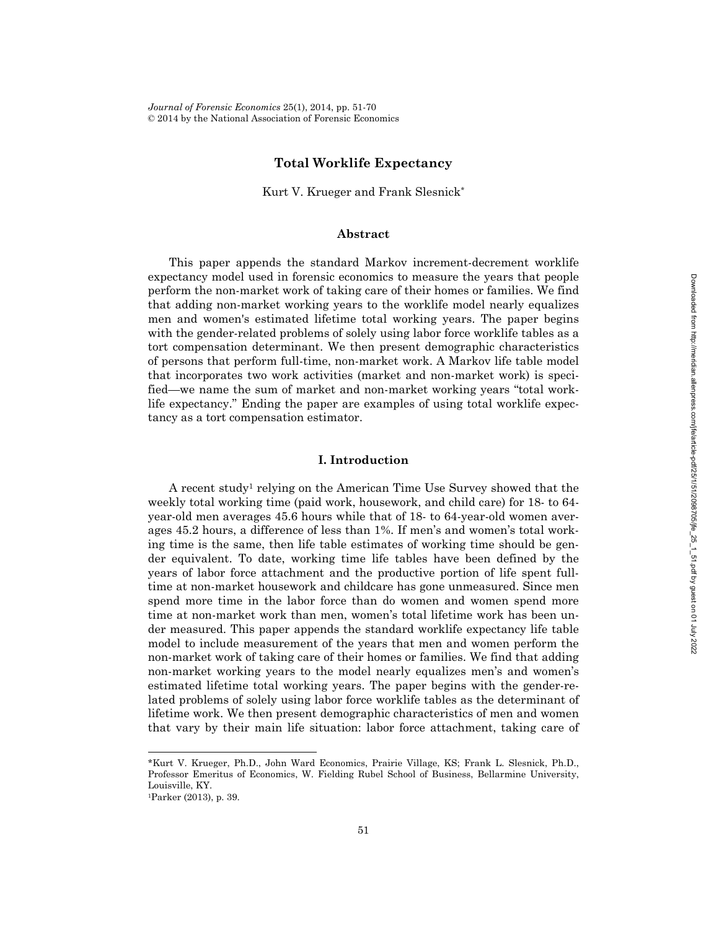# **Total Worklife Expectancy**

Kurt V. Krueger and Frank Slesnick\*

#### **Abstract**

This paper appends the standard Markov increment-decrement worklife expectancy model used in forensic economics to measure the years that people perform the non-market work of taking care of their homes or families. We find that adding non-market working years to the worklife model nearly equalizes men and women's estimated lifetime total working years. The paper begins with the gender-related problems of solely using labor force worklife tables as a tort compensation determinant. We then present demographic characteristics of persons that perform full-time, non-market work. A Markov life table model that incorporates two work activities (market and non-market work) is specified—we name the sum of market and non-market working years "total worklife expectancy." Ending the paper are examples of using total worklife expectancy as a tort compensation estimator.

## **I. Introduction**

A recent study1 relying on the American Time Use Survey showed that the weekly total working time (paid work, housework, and child care) for 18- to 64 year-old men averages 45.6 hours while that of 18- to 64-year-old women averages 45.2 hours, a difference of less than 1%. If men's and women's total working time is the same, then life table estimates of working time should be gender equivalent. To date, working time life tables have been defined by the years of labor force attachment and the productive portion of life spent fulltime at non-market housework and childcare has gone unmeasured. Since men spend more time in the labor force than do women and women spend more time at non-market work than men, women's total lifetime work has been under measured. This paper appends the standard worklife expectancy life table model to include measurement of the years that men and women perform the non-market work of taking care of their homes or families. We find that adding non-market working years to the model nearly equalizes men's and women's estimated lifetime total working years. The paper begins with the gender-related problems of solely using labor force worklife tables as the determinant of lifetime work. We then present demographic characteristics of men and women that vary by their main life situation: labor force attachment, taking care of

l

<sup>\*</sup>Kurt V. Krueger, Ph.D., John Ward Economics, Prairie Village, KS; Frank L. Slesnick, Ph.D., Professor Emeritus of Economics, W. Fielding Rubel School of Business, Bellarmine University, Louisville, KY.

<sup>1</sup>Parker (2013), p. 39.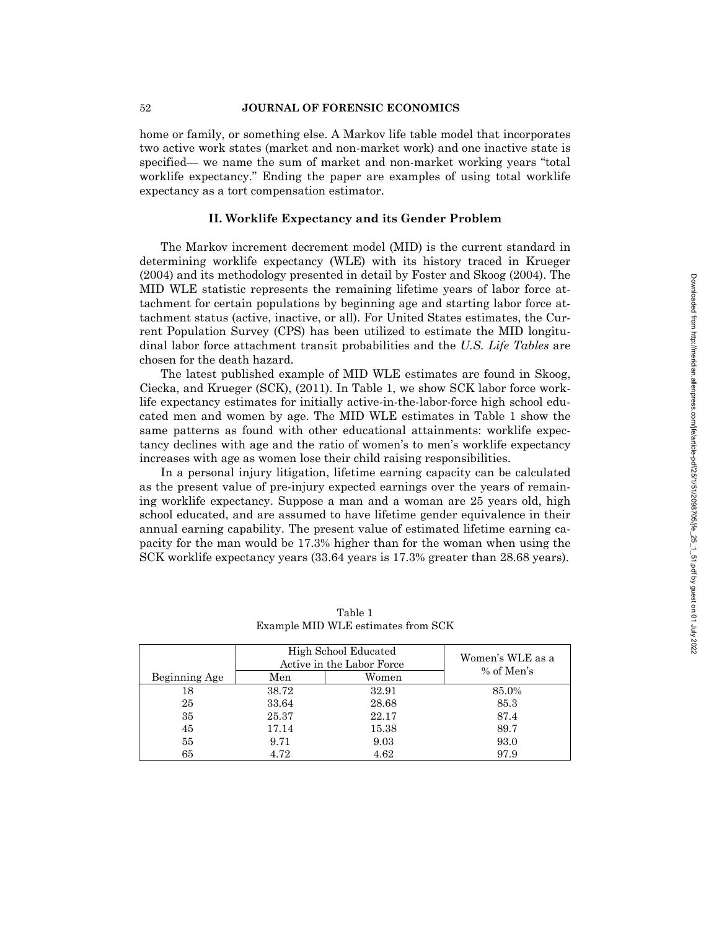home or family, or something else. A Markov life table model that incorporates two active work states (market and non-market work) and one inactive state is specified— we name the sum of market and non-market working years "total worklife expectancy." Ending the paper are examples of using total worklife expectancy as a tort compensation estimator.

### **II. Worklife Expectancy and its Gender Problem**

The Markov increment decrement model (MID) is the current standard in determining worklife expectancy (WLE) with its history traced in Krueger (2004) and its methodology presented in detail by Foster and Skoog (2004). The MID WLE statistic represents the remaining lifetime years of labor force attachment for certain populations by beginning age and starting labor force attachment status (active, inactive, or all). For United States estimates, the Current Population Survey (CPS) has been utilized to estimate the MID longitudinal labor force attachment transit probabilities and the *U.S. Life Tables* are chosen for the death hazard.

The latest published example of MID WLE estimates are found in Skoog, Ciecka, and Krueger (SCK), (2011). In Table 1, we show SCK labor force worklife expectancy estimates for initially active-in-the-labor-force high school educated men and women by age. The MID WLE estimates in Table 1 show the same patterns as found with other educational attainments: worklife expectancy declines with age and the ratio of women's to men's worklife expectancy increases with age as women lose their child raising responsibilities.

In a personal injury litigation, lifetime earning capacity can be calculated as the present value of pre-injury expected earnings over the years of remaining worklife expectancy. Suppose a man and a woman are 25 years old, high school educated, and are assumed to have lifetime gender equivalence in their annual earning capability. The present value of estimated lifetime earning capacity for the man would be 17.3% higher than for the woman when using the SCK worklife expectancy years (33.64 years is 17.3% greater than 28.68 years).

|               |       | High School Educated<br>Active in the Labor Force | Women's WLE as a<br>$%$ of Men's |
|---------------|-------|---------------------------------------------------|----------------------------------|
| Beginning Age | Men   | Women                                             |                                  |
| 18            | 38.72 | 32.91                                             | 85.0%                            |
| 25            | 33.64 | 28.68                                             | 85.3                             |
| 35            | 25.37 | 22.17                                             | 87.4                             |
| 45            | 17.14 | 15.38                                             | 89.7                             |
| 55            | 9.71  | 9.03                                              | 93.0                             |
| 65            | 4.72  | 4.62                                              | 97.9                             |

Table 1 Example MID WLE estimates from SCK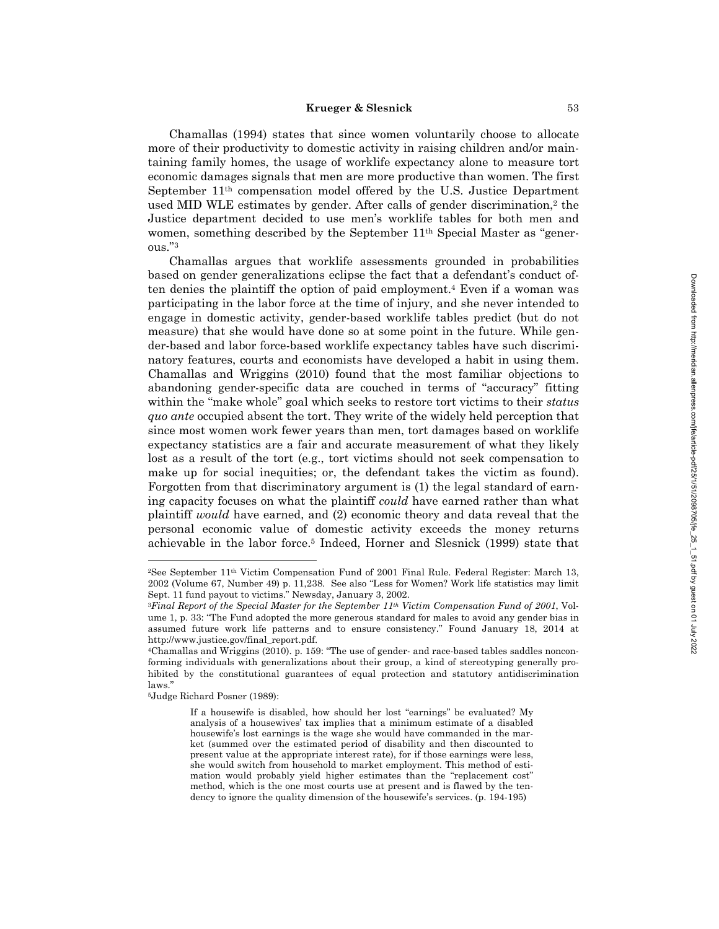Chamallas (1994) states that since women voluntarily choose to allocate more of their productivity to domestic activity in raising children and/or maintaining family homes, the usage of worklife expectancy alone to measure tort economic damages signals that men are more productive than women. The first September 11th compensation model offered by the U.S. Justice Department used MID WLE estimates by gender. After calls of gender discrimination, 2 the Justice department decided to use men's worklife tables for both men and women, something described by the September 11<sup>th</sup> Special Master as "generous."3

Chamallas argues that worklife assessments grounded in probabilities based on gender generalizations eclipse the fact that a defendant's conduct often denies the plaintiff the option of paid employment.4 Even if a woman was participating in the labor force at the time of injury, and she never intended to engage in domestic activity, gender-based worklife tables predict (but do not measure) that she would have done so at some point in the future. While gender-based and labor force-based worklife expectancy tables have such discriminatory features, courts and economists have developed a habit in using them. Chamallas and Wriggins (2010) found that the most familiar objections to abandoning gender-specific data are couched in terms of "accuracy" fitting within the "make whole" goal which seeks to restore tort victims to their *status quo ante* occupied absent the tort. They write of the widely held perception that since most women work fewer years than men, tort damages based on worklife expectancy statistics are a fair and accurate measurement of what they likely lost as a result of the tort (e.g., tort victims should not seek compensation to make up for social inequities; or, the defendant takes the victim as found). Forgotten from that discriminatory argument is (1) the legal standard of earning capacity focuses on what the plaintiff *could* have earned rather than what plaintiff *would* have earned, and (2) economic theory and data reveal that the personal economic value of domestic activity exceeds the money returns achievable in the labor force. 5 Indeed, Horner and Slesnick (1999) state that

laws."<br><sup>5</sup>Judge Richard Posner (1989):

 <sup>2</sup>See September 11th Victim Compensation Fund of 2001 Final Rule. Federal Register: March 13, 2002 (Volume 67, Number 49) p. 11,238. See also "Less for Women? Work life statistics may limit Sept. 11 fund payout to victims." Newsday, January 3, 2002.<br><sup>3</sup>Final Report of the Special Master for the September 11<sup>th</sup> Victim Compensation Fund of 2001, Vol-

ume 1, p. 33: "The Fund adopted the more generous standard for males to avoid any gender bias in assumed future work life patterns and to ensure consistency." Found January 18, 2014 at http://www.justice.gov/final\_report.pdf.<br><sup>4</sup>Chamallas and Wriggins (2010). p. 159: "The use of gender- and race-based tables saddles noncon-

forming individuals with generalizations about their group, a kind of stereotyping generally prohibited by the constitutional guarantees of equal protection and statutory antidiscrimination

If a housewife is disabled, how should her lost "earnings" be evaluated? My analysis of a housewives' tax implies that a minimum estimate of a disabled housewife's lost earnings is the wage she would have commanded in the market (summed over the estimated period of disability and then discounted to present value at the appropriate interest rate), for if those earnings were less, she would switch from household to market employment. This method of estimation would probably yield higher estimates than the "replacement cost" method, which is the one most courts use at present and is flawed by the tendency to ignore the quality dimension of the housewife's services. (p. 194-195)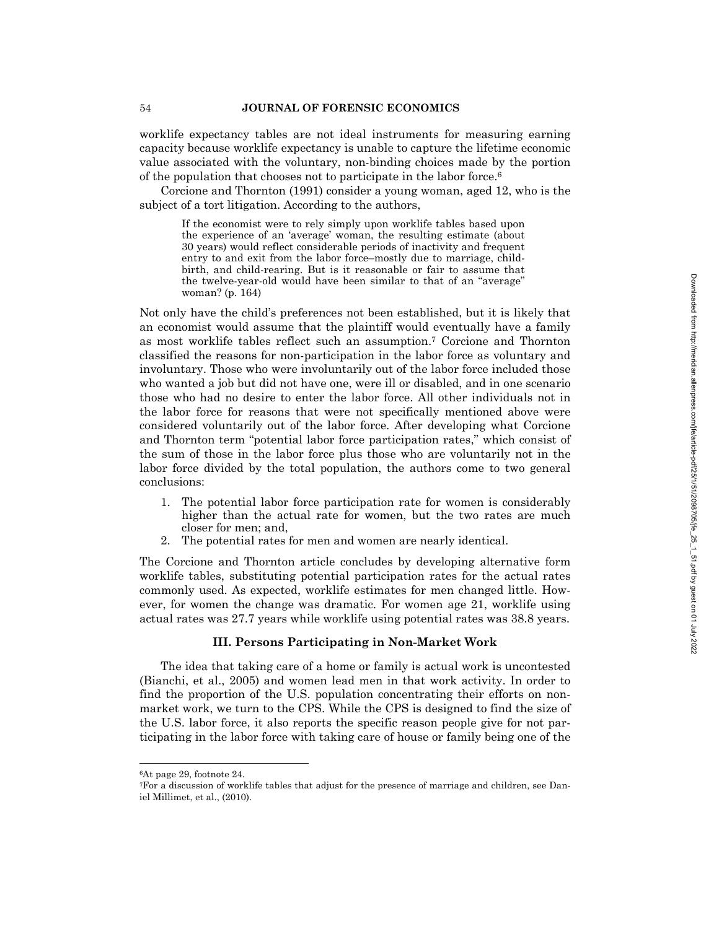worklife expectancy tables are not ideal instruments for measuring earning capacity because worklife expectancy is unable to capture the lifetime economic value associated with the voluntary, non-binding choices made by the portion of the population that chooses not to participate in the labor force. 6

Corcione and Thornton (1991) consider a young woman, aged 12, who is the subject of a tort litigation. According to the authors,

If the economist were to rely simply upon worklife tables based upon the experience of an 'average' woman, the resulting estimate (about 30 years) would reflect considerable periods of inactivity and frequent entry to and exit from the labor force–mostly due to marriage, childbirth, and child-rearing. But is it reasonable or fair to assume that the twelve-year-old would have been similar to that of an "average" woman? (p. 164)

Not only have the child's preferences not been established, but it is likely that an economist would assume that the plaintiff would eventually have a family as most worklife tables reflect such an assumption. 7 Corcione and Thornton classified the reasons for non-participation in the labor force as voluntary and involuntary. Those who were involuntarily out of the labor force included those who wanted a job but did not have one, were ill or disabled, and in one scenario those who had no desire to enter the labor force. All other individuals not in the labor force for reasons that were not specifically mentioned above were considered voluntarily out of the labor force. After developing what Corcione and Thornton term "potential labor force participation rates," which consist of the sum of those in the labor force plus those who are voluntarily not in the labor force divided by the total population, the authors come to two general conclusions:

- 1. The potential labor force participation rate for women is considerably higher than the actual rate for women, but the two rates are much closer for men; and,
- 2. The potential rates for men and women are nearly identical.

The Corcione and Thornton article concludes by developing alternative form worklife tables, substituting potential participation rates for the actual rates commonly used. As expected, worklife estimates for men changed little. However, for women the change was dramatic. For women age 21, worklife using actual rates was 27.7 years while worklife using potential rates was 38.8 years.

## **III. Persons Participating in Non-Market Work**

The idea that taking care of a home or family is actual work is uncontested (Bianchi, et al., 2005) and women lead men in that work activity. In order to find the proportion of the U.S. population concentrating their efforts on nonmarket work, we turn to the CPS. While the CPS is designed to find the size of the U.S. labor force, it also reports the specific reason people give for not participating in the labor force with taking care of house or family being one of the

<sup>&</sup>lt;sup>6</sup>At page 29, footnote 24.<br><sup>7</sup>For a discussion of worklife tables that adjust for the presence of marriage and children, see Daniel Millimet, et al., (2010).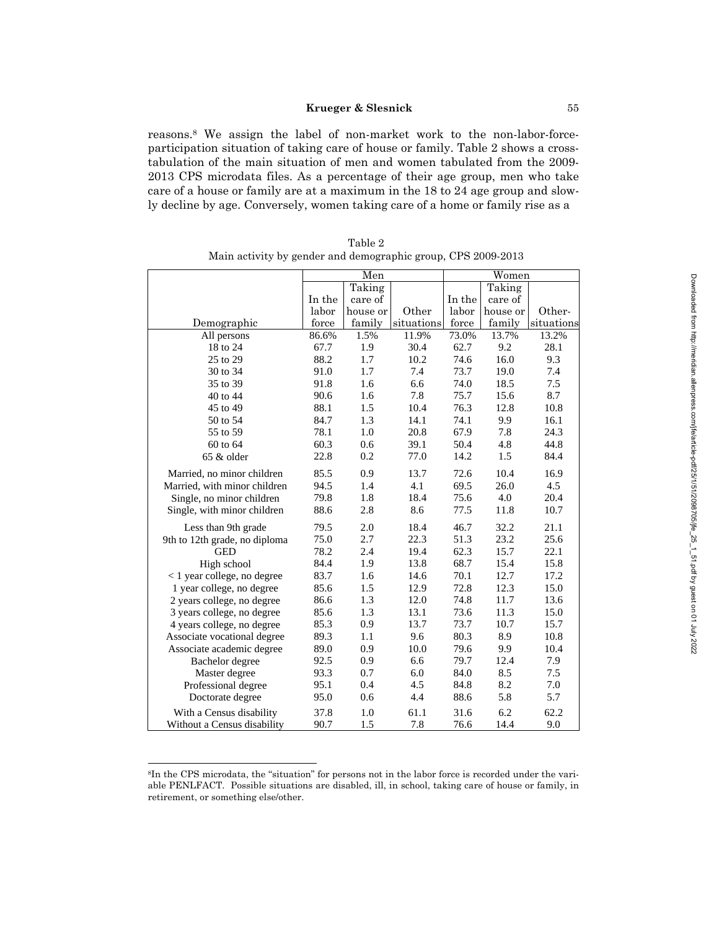reasons.8 We assign the label of non-market work to the non-labor-forceparticipation situation of taking care of house or family. Table 2 shows a crosstabulation of the main situation of men and women tabulated from the 2009- 2013 CPS microdata files. As a percentage of their age group, men who take care of a house or family are at a maximum in the 18 to 24 age group and slowly decline by age. Conversely, women taking care of a home or family rise as a

|                               |        | Men      |            |        | Women    |            |
|-------------------------------|--------|----------|------------|--------|----------|------------|
|                               |        | Taking   |            |        | Taking   |            |
|                               | In the | care of  |            | In the | care of  |            |
|                               | labor  | house or | Other      | labor  | house or | Other-     |
| Demographic                   | force  | family   | situations | force  | family   | situations |
| All persons                   | 86.6%  | 1.5%     | 11.9%      | 73.0%  | 13.7%    | 13.2%      |
| 18 to 24                      | 67.7   | 1.9      | 30.4       | 62.7   | 9.2      | 28.1       |
| 25 to 29                      | 88.2   | 1.7      | 10.2       | 74.6   | 16.0     | 9.3        |
| 30 to 34                      | 91.0   | 1.7      | 7.4        | 73.7   | 19.0     | 7.4        |
| 35 to 39                      | 91.8   | 1.6      | 6.6        | 74.0   | 18.5     | 7.5        |
| 40 to 44                      | 90.6   | 1.6      | 7.8        | 75.7   | 15.6     | 8.7        |
| 45 to 49                      | 88.1   | 1.5      | 10.4       | 76.3   | 12.8     | 10.8       |
| 50 to 54                      | 84.7   | 1.3      | 14.1       | 74.1   | 9.9      | 16.1       |
| 55 to 59                      | 78.1   | 1.0      | 20.8       | 67.9   | 7.8      | 24.3       |
| 60 to 64                      | 60.3   | 0.6      | 39.1       | 50.4   | 4.8      | 44.8       |
| $65 &$ older                  | 22.8   | 0.2      | 77.0       | 14.2   | 1.5      | 84.4       |
| Married, no minor children    | 85.5   | 0.9      | 13.7       | 72.6   | 10.4     | 16.9       |
| Married, with minor children  | 94.5   | 1.4      | 4.1        | 69.5   | 26.0     | 4.5        |
| Single, no minor children     | 79.8   | 1.8      | 18.4       | 75.6   | 4.0      | 20.4       |
| Single, with minor children   | 88.6   | 2.8      | 8.6        | 77.5   | 11.8     | 10.7       |
| Less than 9th grade           | 79.5   | 2.0      | 18.4       | 46.7   | 32.2     | 21.1       |
| 9th to 12th grade, no diploma | 75.0   | 2.7      | 22.3       | 51.3   | 23.2     | 25.6       |
| <b>GED</b>                    | 78.2   | 2.4      | 19.4       | 62.3   | 15.7     | 22.1       |
| High school                   | 84.4   | 1.9      | 13.8       | 68.7   | 15.4     | 15.8       |
| $<$ 1 year college, no degree | 83.7   | 1.6      | 14.6       | 70.1   | 12.7     | 17.2       |
| 1 year college, no degree     | 85.6   | 1.5      | 12.9       | 72.8   | 12.3     | 15.0       |
| 2 years college, no degree    | 86.6   | 1.3      | 12.0       | 74.8   | 11.7     | 13.6       |
| 3 years college, no degree    | 85.6   | 1.3      | 13.1       | 73.6   | 11.3     | 15.0       |
| 4 years college, no degree    | 85.3   | 0.9      | 13.7       | 73.7   | 10.7     | 15.7       |
| Associate vocational degree   | 89.3   | 1.1      | 9.6        | 80.3   | 8.9      | 10.8       |
| Associate academic degree     | 89.0   | 0.9      | 10.0       | 79.6   | 9.9      | 10.4       |
| Bachelor degree               | 92.5   | 0.9      | 6.6        | 79.7   | 12.4     | 7.9        |
| Master degree                 | 93.3   | 0.7      | 6.0        | 84.0   | 8.5      | 7.5        |
| Professional degree           | 95.1   | 0.4      | 4.5        | 84.8   | 8.2      | 7.0        |
| Doctorate degree              | 95.0   | 0.6      | 4.4        | 88.6   | 5.8      | 5.7        |
| With a Census disability      | 37.8   | 1.0      | 61.1       | 31.6   | 6.2      | 62.2       |
| Without a Census disability   | 90.7   | 1.5      | 7.8        | 76.6   | 14.4     | 9.0        |

Table 2 Main activity by gender and demographic group, CPS 2009-2013

l

<sup>8</sup>In the CPS microdata, the "situation" for persons not in the labor force is recorded under the variable PENLFACT. Possible situations are disabled, ill, in school, taking care of house or family, in retirement, or something else/other.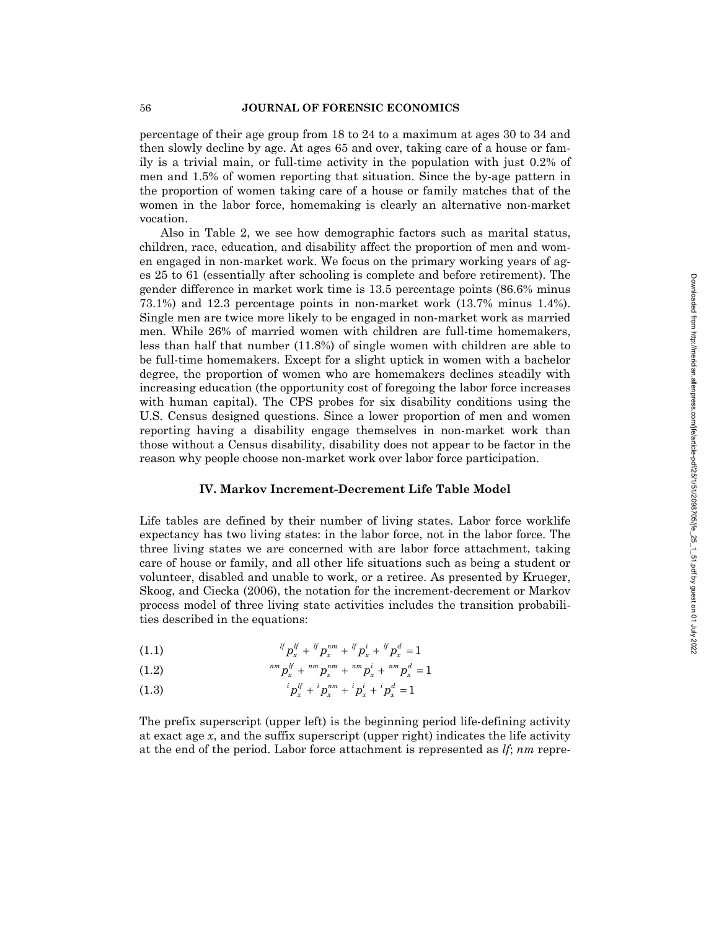percentage of their age group from 18 to 24 to a maximum at ages 30 to 34 and then slowly decline by age. At ages 65 and over, taking care of a house or family is a trivial main, or full-time activity in the population with just 0.2% of men and 1.5% of women reporting that situation. Since the by-age pattern in the proportion of women taking care of a house or family matches that of the women in the labor force, homemaking is clearly an alternative non-market vocation.

Also in Table 2, we see how demographic factors such as marital status, children, race, education, and disability affect the proportion of men and women engaged in non-market work. We focus on the primary working years of ages 25 to 61 (essentially after schooling is complete and before retirement). The gender difference in market work time is 13.5 percentage points (86.6% minus 73.1%) and 12.3 percentage points in non-market work (13.7% minus 1.4%). Single men are twice more likely to be engaged in non-market work as married men. While 26% of married women with children are full-time homemakers, less than half that number (11.8%) of single women with children are able to be full-time homemakers. Except for a slight uptick in women with a bachelor degree, the proportion of women who are homemakers declines steadily with increasing education (the opportunity cost of foregoing the labor force increases with human capital). The CPS probes for six disability conditions using the U.S. Census designed questions. Since a lower proportion of men and women reporting having a disability engage themselves in non-market work than those without a Census disability, disability does not appear to be factor in the reason why people choose non-market work over labor force participation.

## **IV. Markov Increment-Decrement Life Table Model**

Life tables are defined by their number of living states. Labor force worklife expectancy has two living states: in the labor force, not in the labor force. The three living states we are concerned with are labor force attachment, taking care of house or family, and all other life situations such as being a student or volunteer, disabled and unable to work, or a retiree. As presented by Krueger, Skoog, and Ciecka (2006), the notation for the increment-decrement or Markov process model of three living state activities includes the transition probabilities described in the equations:

$$
(1.1) \t\t\t\tl p_x^{l} + {}^{l} p_x^{nm} + {}^{l} p_x^{i} + {}^{l} p_x^{l} = 1
$$

$$
(1.2) \t mx pxH + {}nm pxum + {}nm pxi + {}nm pxd = 1
$$

$$
(1.3) \t i p_x^{lf} + i p_x^{nm} + i p_x^{i} + i p_x^{d} = 1
$$

The prefix superscript (upper left) is the beginning period life-defining activity at exact age *x*, and the suffix superscript (upper right) indicates the life activity at the end of the period. Labor force attachment is represented as *lf*; *nm* repre-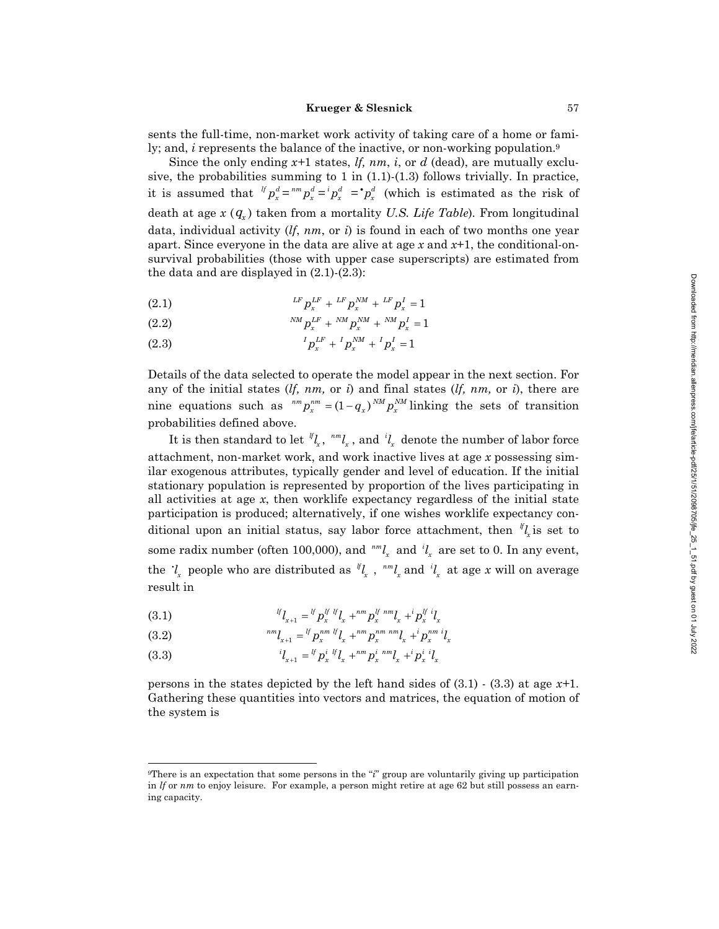sents the full-time, non-market work activity of taking care of a home or family; and, *i* represents the balance of the inactive, or non-working population.<sup>9</sup>

Since the only ending *x+*1 states, *lf, nm*, *i*, or *d* (dead), are mutually exclusive, the probabilities summing to 1 in (1.1)-(1.3) follows trivially. In practice, it is assumed that  ${}^{\{H} p_x d} = {}^{nm} p_x d = {}^{n} p_x d$   ${}^{n} p_x d$  (which is estimated as the risk of death at age *x* ( *qx* ) taken from a mortality *U.S. Life Table* )*.* From longitudinal data, individual activity (*lf*, *nm*, or *i*) is found in each of two months one year apart. Since everyone in the data are alive at age *x* and *x*+1, the conditional-onsurvival probabilities (those with upper case superscripts) are estimated from the data and are displayed in  $(2.1)$ - $(2.3)$ :

(2.1) 
$$
{}^{LF}p_x^{LF} + {}^{LF}p_x^{NM} + {}^{LF}p_x^I = 1
$$

(2.2) 
$$
{}^{NM} p_x^{LF} + {}^{NM} p_x^{NM} + {}^{NM} p_x^I = 1
$$

(2.3)  $I p_x^{LF} + I p_x^{NM} + I p_x^{I} = 1$ 

Details of the data selected to operate the model appear in the next section. For any of the initial states  $(lf, nm, or i)$  and final states  $(lf, nm, or i)$ , there are nine equations such as  $^{nm} p_x^{nm} = (1 - q_x)^{NM} p_x^{NM}$  linking the sets of transition probabilities defined above.

It is then standard to let  $^{ij}l_x$ ,  $^{mn}l_x$ , and  $^{ij}l_x$  denote the number of labor force attachment, non-market work, and work inactive lives at age *x* possessing similar exogenous attributes, typically gender and level of education. If the initial stationary population is represented by proportion of the lives participating in all activities at age *x*, then worklife expectancy regardless of the initial state participation is produced; alternatively, if one wishes worklife expectancy conditional upon an initial status, say labor force attachment, then  $\psi_{l}$  is set to some radix number (often 100,000), and  $^{nm}l_x$  and  $^{i}l_x$  are set to 0. In any event, the  $l_x$  people who are distributed as  $l_x$ ,  $l_x$  and  $l_x$  at age x will on average result in

$$
(3.1) \t\t t^{lf} l_{x+1} = {}^{lf} p_x^{l} {}^{lf} l_x + {}^{nm} p_x^{l} {}^{nm} l_x + {}^{i} p_x^{l} {}^{i} l_x
$$

$$
(3.2) \t m_{l_{x+1}} = {}^{l} p_x^{nm} {}^{l} l_x + {}^{nm} p_x^{nm} {}^{nm} l_x + {}^{i} p_x^{nm} {}^{i} l_x
$$

(3.3)  ${}^{i}l_{x+1} = {}^{lf}p_{x}^{i} {}^{lf}l_{x} + {}^{nm}p_{x}^{i} {}^{nm}l_{x} + {}^{i}p_{x}^{i} {}^{il}_{x}$ 

persons in the states depicted by the left hand sides of (3.1) - (3.3) at age *x+*1. Gathering these quantities into vectors and matrices, the equation of motion of the system is

 <sup>9</sup>There is an expectation that some persons in the " *i*" group are voluntarily giving up participation in *lf* or *nm* to enjoy leisure. For example, a person might retire at age 62 but still possess an earning capacity.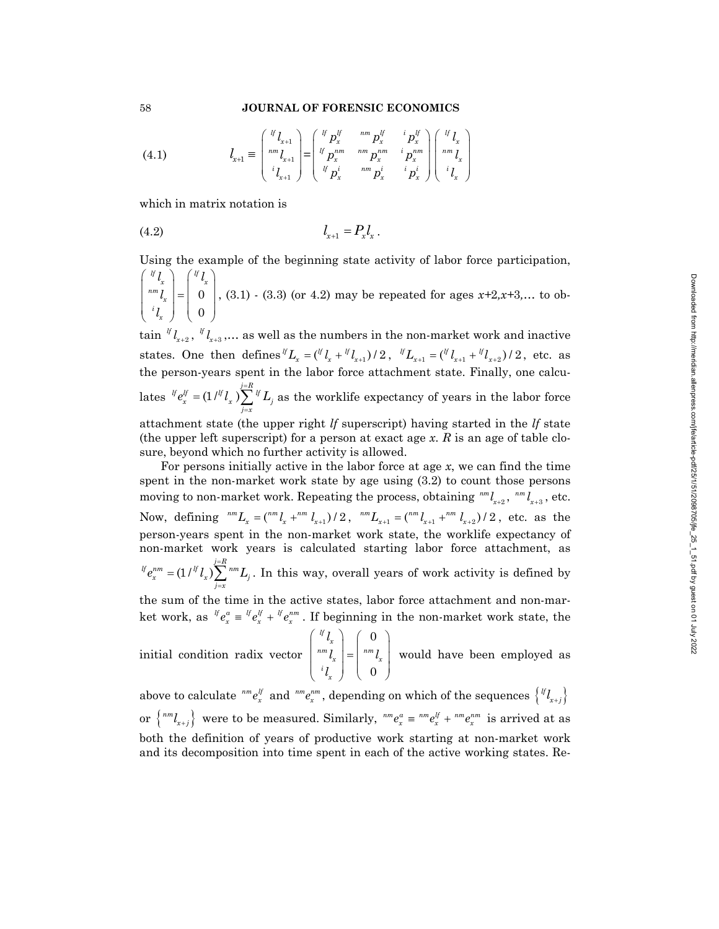(4.1) 
$$
l_{x+1} \equiv \begin{pmatrix} {}^{l}I \, l_{x+1} \\ {}^{m}I \, l_{x+1} \\ {}^{i}I \, l_{x+1} \end{pmatrix} = \begin{pmatrix} {}^{l}I \, p_{x}^{l} & {}^{nm} \, p_{x}^{l} & {}^{i}P_{x}^{l} \\ {}^{l}I \, p_{x}^{n} & {}^{nm} \, p_{x}^{n} & {}^{i}P_{x}^{n} \\ {}^{l}I \, p_{x}^{i} & {}^{nm} \, p_{x}^{i} & {}^{i}P_{x}^{i} \end{pmatrix} \begin{pmatrix} {}^{l}I \, l_{x} \\ {}^{nm}I \, l_{x} \\ {}^{i}I \, l_{x} \end{pmatrix}
$$

which in matrix notation is

$$
(4.2) \t\t\t l_{x+1} = P_x l_x \, .
$$

Using the example of the beginning state activity of labor force participation,  $\left(\begin{array}{c} {}^lf_i l_x \ n^m l_x \end{array}\right) = \left(\begin{array}{c} {}^lf_i l_x \ 0 \end{array}\right)$  $\begin{pmatrix} n m l_x \\ i l_x \end{pmatrix} = \begin{pmatrix} 0 \\ 0 \end{pmatrix}$  $\begin{bmatrix} u_l \\ u_m \\ u_l \end{bmatrix} = \begin{bmatrix} u_l \\ v_m \\ 0 \\ 0 \end{bmatrix}$ *x*  $l_{r}$  |  $\left( \begin{array}{c} l \ l \end{array} \right)$  $\begin{bmatrix} u_l \\ v_r \end{bmatrix} = \begin{bmatrix} 0 \\ 0 \end{bmatrix}$ , (3.1) - (3.3) (or 4.2) may be repeated for ages *x*+2*,x*+3,... to ob-

tain  $^{ij}l_{x+2}$ ,  $^{ij}l_{x+3}$ ,... as well as the numbers in the non-market work and inactive states. One then defines  ${}^{lf}L_x = ({}^{lf}l_x + {}^{lf}l_{x+1})/2, {}^{lf}L_{x+1} = ({}^{lf}l_{x+1} + {}^{lf}l_{x+2})/2,$  etc. as the person-years spent in the labor force attachment state. Finally, one calcu- $\text{lates} \ \ ^{lf}e^{lf}_x = (1 \, l^{lf} \, l_x \, ) \displaystyle{\sum_{j=x}^{j=R} {}^{lf} \, L_j}$  $e_{r}^{ll} = (1)^{ll} l_{r}$ ),  $\sum_{i=1}^{l} L_{i}$  as the worklife expectancy of years in the labor force attachment state (the upper right *lf* superscript) having started in the *lf* state (the upper left superscript) for a person at exact age *x*. *R* is an age of table closure, beyond which no further activity is allowed.

For persons initially active in the labor force at age *x*, we can find the time spent in the non-market work state by age using (3.2) to count those persons moving to non-market work. Repeating the process, obtaining  ${}^{nm}l_{x+2}$ ,  ${}^{nm}l_{x+3}$ , etc. Now, defining  ${}^{nm}L_x = ({}^{nm}l_x + {}^{nm}l_{x+1})/2$ ,  ${}^{nm}L_{x+1} = ({}^{nm}l_{x+1} + {}^{nm}l_{x+2})/2$ , etc. as the person-years spent in the non-market work state, the worklife expectancy of non-market work years is calculated starting labor force attachment, as  $\int_{0}^{1} e^{n m}_{x} = (1 / \int_{0}^{1} l_{x}) \sum_{j=x}^{j=R} {}^{n m} L_{j}$  $e_{r}^{nm} = (1^{\frac{lf}{l}} l_{r}) \sum_{m}^{nm} L_{i}$ . In this way, overall years of work activity is defined by the sum of the time in the active states, labor force attachment and non-mar-

initial condition radix vector  $\begin{pmatrix} {}^{lf}I_x \\ n m \end{pmatrix}$ <br>  $\begin{pmatrix} nm \end{pmatrix}$ <br>  $\begin{pmatrix} i \\ l_x \end{pmatrix}$ <br>  $\begin{pmatrix} 0 \\ n m \end{pmatrix}$  $\iota_{\iota}$ <br> $\iota_{\iota}$ *l l l* would have been employed as

ket work, as  ${}^{i}e_x^a = {}^{i}e_x^{\mu} + {}^{i}e_x^{nm}$ . If beginning in the non-market work state, the

above to calculate  ${}^{nm}e_x^{\mu}$  and  ${}^{nm}e_x^{nm}$ , depending on which of the sequences  $\{{}^{l\ell}l_{x+j}\}$ or  $\{ {^{nm}}l_{x+j} \}$  were to be measured. Similarly,  ${^{nm}}e_x^a = {^{nm}}e_x^{lj} + {^{nm}}e_x^{nm}$  is arrived at as both the definition of years of productive work starting at non-market work and its decomposition into time spent in each of the active working states. Re-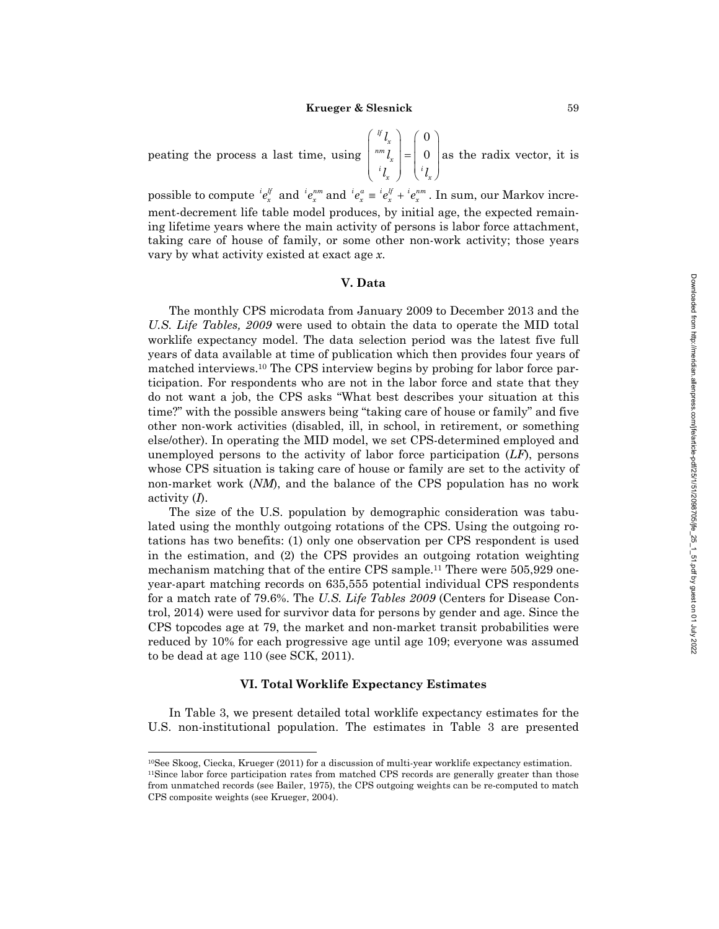peating the process a last time, using  $\begin{pmatrix} {}^{lf}l_x \\ \n m_l l_x \\ \n i_l l_x \end{pmatrix} = \begin{pmatrix} 0 \\ 0 \\ \n i_l l_x \end{pmatrix}$ as the radix vector, it is

possible to compute  ${}^{i}e_{x}^{l}$  and  ${}^{i}e_{x}^{nm}$  and  ${}^{i}e_{x}^{a} = {}^{i}e_{x}^{l'} + {}^{i}e_{x}^{nm}$ . In sum, our Markov increment-decrement life table model produces, by initial age, the expected remaining lifetime years where the main activity of persons is labor force attachment, taking care of house of family, or some other non-work activity; those years vary by what activity existed at exact age *x*.

### **V. Data**

The monthly CPS microdata from January 2009 to December 2013 and the *U.S. Life Tables, 2009* were used to obtain the data to operate the MID total worklife expectancy model. The data selection period was the latest five full years of data available at time of publication which then provides four years of matched interviews.10 The CPS interview begins by probing for labor force participation. For respondents who are not in the labor force and state that they do not want a job, the CPS asks "What best describes your situation at this time?" with the possible answers being "taking care of house or family" and five other non-work activities (disabled, ill, in school, in retirement, or something else/other). In operating the MID model, we set CPS-determined employed and unemployed persons to the activity of labor force participation (*LF*), persons whose CPS situation is taking care of house or family are set to the activity of non-market work (*NM*), and the balance of the CPS population has no work activity ( *I*).

The size of the U.S. population by demographic consideration was tabulated using the monthly outgoing rotations of the CPS. Using the outgoing rotations has two benefits: (1) only one observation per CPS respondent is used in the estimation, and (2) the CPS provides an outgoing rotation weighting mechanism matching that of the entire CPS sample.<sup>11</sup> There were 505,929 oneyear-apart matching records on 635,555 potential individual CPS respondents for a match rate of 79.6%. The *U.S. Life Tables 2009* (Centers for Disease Control, 2014) were used for survivor data for persons by gender and age. Since the CPS topcodes age at 79, the market and non-market transit probabilities were reduced by 10% for each progressive age until age 109; everyone was assumed to be dead at age 110 (see SCK, 2011).

## **VI. Total Worklife Expectancy Estimates**

In Table 3, we present detailed total worklife expectancy estimates for the U.S. non-institutional population. The estimates in Table 3 are presented

l

<sup>10</sup>See Skoog, Ciecka, Krueger (2011) for a discussion of multi-year worklife expectancy estimation. <sup>11</sup>Since labor force participation rates from matched CPS records are generally greater than those from unmatched records (see Bailer, 1975), the CPS outgoing weights can be re-computed to match CPS composite weights (see Krueger, 2004).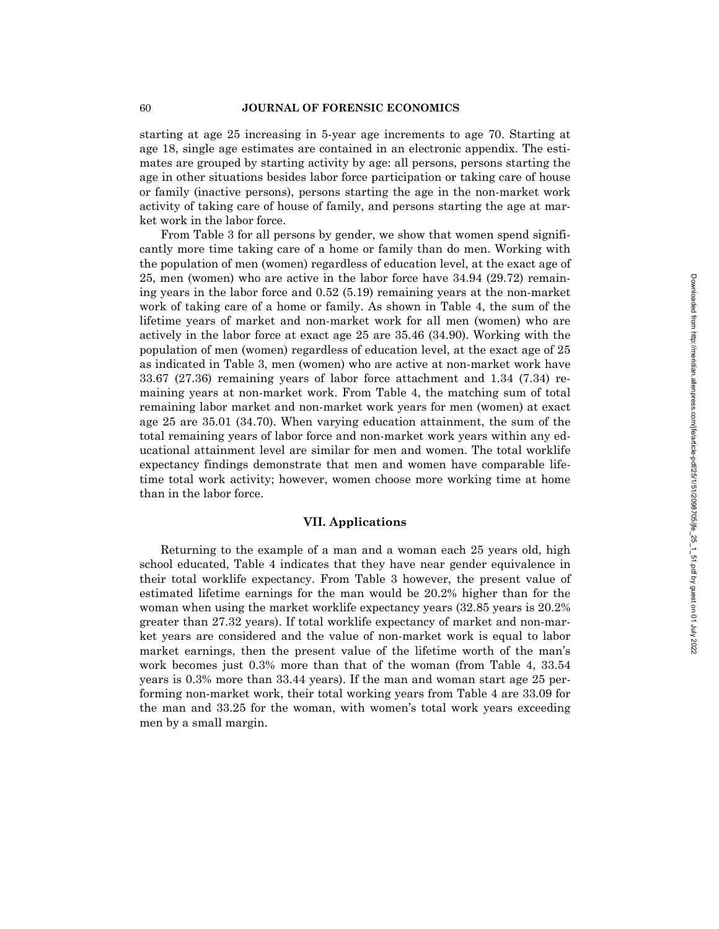starting at age 25 increasing in 5-year age increments to age 70. Starting at age 18, single age estimates are contained in an electronic appendix. The estimates are grouped by starting activity by age: all persons, persons starting the age in other situations besides labor force participation or taking care of house or family (inactive persons), persons starting the age in the non-market work activity of taking care of house of family, and persons starting the age at market work in the labor force.

From Table 3 for all persons by gender, we show that women spend significantly more time taking care of a home or family than do men. Working with the population of men (women) regardless of education level, at the exact age of 25, men (women) who are active in the labor force have 34.94 (29.72) remaining years in the labor force and 0.52 (5.19) remaining years at the non-market work of taking care of a home or family. As shown in Table 4, the sum of the lifetime years of market and non-market work for all men (women) who are actively in the labor force at exact age 25 are 35.46 (34.90). Working with the population of men (women) regardless of education level, at the exact age of 25 as indicated in Table 3, men (women) who are active at non-market work have 33.67 (27.36) remaining years of labor force attachment and 1.34 (7.34) remaining years at non-market work. From Table 4, the matching sum of total remaining labor market and non-market work years for men (women) at exact age 25 are 35.01 (34.70). When varying education attainment, the sum of the total remaining years of labor force and non-market work years within any educational attainment level are similar for men and women. The total worklife expectancy findings demonstrate that men and women have comparable lifetime total work activity; however, women choose more working time at home than in the labor force.

## **VII. Applications**

Returning to the example of a man and a woman each 25 years old, high school educated, Table 4 indicates that they have near gender equivalence in their total worklife expectancy. From Table 3 however, the present value of estimated lifetime earnings for the man would be 20.2% higher than for the woman when using the market worklife expectancy years (32.85 years is 20.2% greater than 27.32 years). If total worklife expectancy of market and non-market years are considered and the value of non-market work is equal to labor market earnings, then the present value of the lifetime worth of the man's work becomes just 0.3% more than that of the woman (from Table 4, 33.54 years is 0.3% more than 33.44 years). If the man and woman start age 25 performing non-market work, their total working years from Table 4 are 33.09 for the man and 33.25 for the woman, with women's total work years exceeding men by a small margin.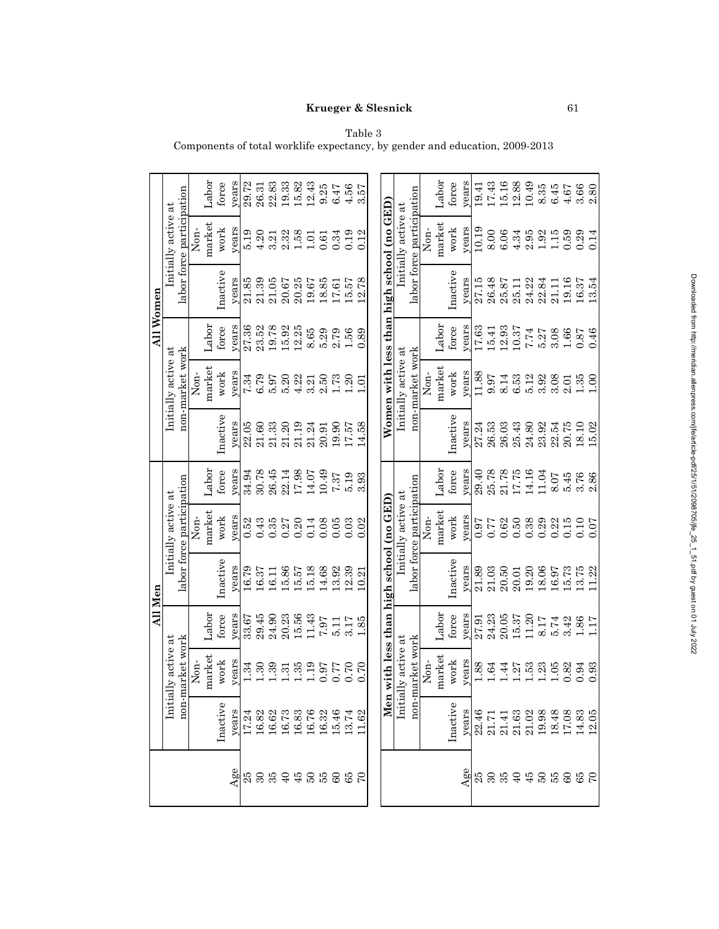# Table 3

Components of total worklife expectancy, by gender and education, 2009-2013

|               |                                                                              |                         | All Men |                                       |                           |                         |                    |                                             | All Women |                                           |                                                     |       |
|---------------|------------------------------------------------------------------------------|-------------------------|---------|---------------------------------------|---------------------------|-------------------------|--------------------|---------------------------------------------|-----------|-------------------------------------------|-----------------------------------------------------|-------|
|               | Initi                                                                        | ally active at          |         |                                       | Initially active at       |                         |                    | Initially active at                         |           |                                           | Initially active at                                 |       |
|               | non                                                                          | market work             |         |                                       | labor force participation |                         |                    | non-market work                             |           |                                           | labor force participation                           |       |
|               |                                                                              | Non-                    |         |                                       | Non-                      |                         |                    | Non-                                        |           |                                           | Non-                                                |       |
|               |                                                                              | market                  | Labor   |                                       | market                    | ${\rm Labor}$           |                    | market                                      | Labor     |                                           | market                                              | Labor |
|               | Inactive                                                                     | ${\tt work}$            | force   | Inactive                              | work                      | force                   | Inactive           | work                                        | force     | Inactive                                  | work                                                | force |
| Age           | years                                                                        | years                   | years   | years                                 | years                     | years                   | vears              | years                                       | years     | vears                                     | years                                               | years |
|               | 17.24                                                                        | 1.34                    | 33.67   | 16.79                                 | 0.52                      | 34.94                   | 22.05              | 7.34                                        | 27.36     | 21.85                                     | 5.19                                                | 29.72 |
| <b>25055</b>  | 16.82                                                                        | $1.30\,$                | 29.45   | 16.37                                 | 0.43                      | 30.78                   | 21.60              | 6.79                                        | 23.52     | 21.39                                     | 4.20                                                | 26.31 |
|               | 16.62                                                                        | 1.39                    | 24.90   | 16.11                                 | 0.35                      | 26.45                   | 21.33              | 5.97                                        | 19.78     | 21.05                                     | 3.21                                                | 22.83 |
|               |                                                                              | $1.31\,$                | 20.23   | 15.86                                 | $0.27$<br>$0.20$          | 22.14                   | 21.20              | 5.20                                        | 15.92     | 20.67                                     |                                                     | 19.33 |
|               |                                                                              | 1.35                    | 15.56   | 15.57                                 |                           | 17.98                   | $21.19$<br>$21.24$ | 4.22                                        | 12.25     | 20.25                                     |                                                     | 15.82 |
| 95000         | $\begin{array}{c} 16.73 \\ 16.83 \\ 16.76 \\ 16.346 \\ 15.74 \\ \end{array}$ | 1.19                    | 11.43   | 15.18                                 | 0.14                      | 14.07                   |                    | $3.21$<br>$2.50$<br>$1.73$                  | 8.65      | 19.67                                     | $\begin{array}{c} 2.32 \\ 1.58 \\ 1.01 \end{array}$ | 12.43 |
|               |                                                                              | 0.97                    | 7.97    | 14.68                                 | 0.08                      | 10.49                   | 20.91              |                                             | 5.29      | 18.85                                     | 0.61                                                | 9.25  |
| $60\,$        |                                                                              | 0.77                    | 5.11    | 13.92                                 | 0.05                      | 7.87                    | 19.90              |                                             | 2.79      | 17.61                                     | 0.34                                                | 6.47  |
| $rac{65}{60}$ |                                                                              | 0.70                    | 3.17    | 12.39                                 | 0.03                      | 5.19                    | 17.57              | 1.20                                        | 1.56      | 15.57                                     | 0.19                                                | 4.56  |
|               | 62                                                                           | 0.70                    | .85     | 10.21                                 | 0.02                      | 3.93                    | 14.58              | ō                                           | 0.89      | 12.78                                     | 0.12                                                | 3.57  |
|               |                                                                              |                         |         |                                       |                           |                         |                    |                                             |           |                                           |                                                     |       |
|               | Mer                                                                          |                         |         | n with less than high school (no GED) |                           |                         |                    |                                             |           | Women with less than high school (no GED) |                                                     |       |
|               | Initi                                                                        | $\frac{1}{x}$ active at |         |                                       | Initially active at       |                         |                    | Initially active at                         |           |                                           | $\text{Initially active at}$                        |       |
|               | non-                                                                         | market work             |         |                                       | labor force participation |                         |                    | non-market work                             |           |                                           | labor force participation                           |       |
|               |                                                                              | Non-                    |         |                                       | Non-                      |                         |                    | Non-                                        |           |                                           | Non-                                                |       |
|               |                                                                              | market                  | Labor   |                                       | market                    | Labor                   |                    | market                                      | Labor     |                                           | market                                              | Labor |
|               | Inactive                                                                     | work                    | force   | Inactive                              | work                      | force                   | Inactive           | work                                        | force     | Inactive                                  | work                                                | force |
| Age           | years                                                                        | years                   | years   | years                                 | years                     | years                   | years              | years                                       | years     | years                                     | years                                               | years |
|               | 22.46<br>21.71                                                               | 1.88                    | 27.91   | 21.89                                 | 0.97                      | 29.40                   | 27.24              | 11.88                                       | 17.63     | 27.15                                     | 10.19                                               | 19.41 |
| <b>2505</b>   |                                                                              | 1.64                    | 24.23   | 21.03                                 | 0.77                      | 25.78<br>21.78<br>17.75 | 26.53              | 9.97                                        | 15.41     | 26.48                                     | 8.00                                                | 17.43 |
|               | 21.41                                                                        | 1.44                    | 20.05   | 20.50                                 | 0.62                      |                         | 26.03              | 8.14                                        | 12.93     | 25.87                                     | 6.06                                                | 15.16 |
|               | 21.63                                                                        | 1.53                    | 15.37   | 20.01                                 | 0.50                      |                         | 25.43              | 6.53                                        | 10.37     | 25.11                                     | 4.34                                                | 12.88 |
| 440000        | 21.02                                                                        |                         | 11.20   | 19.20                                 | 0.38                      | 14.16                   | 24.80              | 5.12                                        | $7.74\,$  | 24.22                                     | $\begin{array}{c} 2.95 \\ 1.92 \end{array}$         | 10.49 |
|               | 19.98<br>18.48                                                               | 1.23                    | 8.17    | 18.06                                 | 0.29                      | 11.04                   | 23.92              | 3.92                                        | 5.27      | 22.84                                     |                                                     | 8.35  |
|               |                                                                              | 1.05                    | 5.74    | 16.97                                 | 0.22                      | 8.07                    | 22.54              | 3.08                                        | 3.08      | 21.11                                     | 1.15                                                | 6.45  |
|               | 17.08                                                                        | 0.82                    | 3.42    | 15.73                                 | 0.15                      | 5.45                    | 20.75              | $\begin{array}{c} 2.01 \\ 1.35 \end{array}$ | 1.66      | 19.16                                     | 0.59                                                | 4.67  |
| 3 P<br>3      | 14.83                                                                        | 0.94                    | .86     | 13.75                                 | 0.10                      | 3.76                    | 18.10              |                                             | 0.87      | 16.37                                     | 0.29                                                | 3.66  |
|               | 12.05                                                                        | 0.93                    | 117     | 11.22                                 | 0.07                      | 2.86                    | 15.02              | 001                                         | 0.46      | 13.54                                     | 0.14                                                | 2.80  |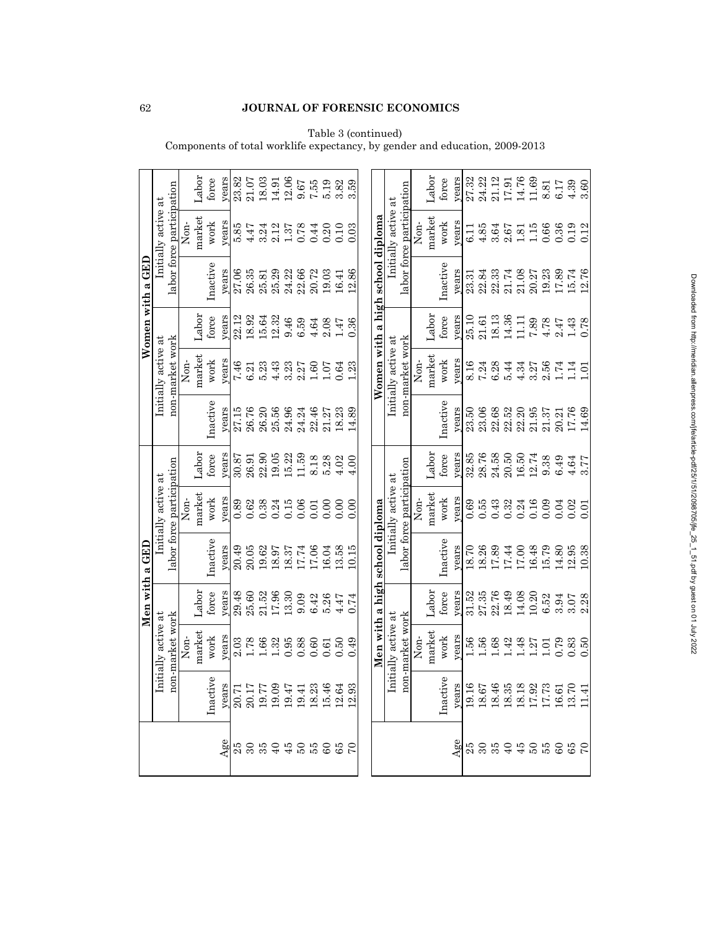Table 3 (continued)

Components of total worklife expectancy, by gender and education, 2009-2013

|                 |                                                                          |                            |                       | Men with a GED                 |                                      |                                                                                  |                         |                                       |                                                      | Women with a GED                 |                                                                                                  |                                            |
|-----------------|--------------------------------------------------------------------------|----------------------------|-----------------------|--------------------------------|--------------------------------------|----------------------------------------------------------------------------------|-------------------------|---------------------------------------|------------------------------------------------------|----------------------------------|--------------------------------------------------------------------------------------------------|--------------------------------------------|
|                 |                                                                          | Initially active at        |                       |                                | Initially active at                  |                                                                                  |                         | Initially active at                   |                                                      |                                  | Initially active at                                                                              |                                            |
|                 |                                                                          | non-market work            |                       |                                | labor force participation            |                                                                                  |                         | non-market work                       |                                                      |                                  | labor force participation                                                                        |                                            |
|                 |                                                                          | Non-                       |                       |                                | Non-                                 |                                                                                  |                         | Non-                                  |                                                      |                                  | Non-                                                                                             |                                            |
|                 |                                                                          | market                     | Labor                 |                                | market                               | Labor                                                                            |                         | narket                                | Labor                                                |                                  | narket                                                                                           | Labor                                      |
|                 | Inactive                                                                 | work                       | force                 | Inactive                       | work                                 | force                                                                            | Inactive                | work                                  | force                                                | Inactive                         | work                                                                                             | force                                      |
| Age             | years                                                                    | years                      | years                 | years                          | years                                | years                                                                            | years                   | years                                 | years                                                | years                            | years                                                                                            | years                                      |
|                 | 20.71                                                                    | 2.03                       | 29.48                 | 20.49                          | <b>68:0</b>                          | 30.87                                                                            | 27.15                   | 7.46                                  | 22.12                                                | 27.06                            | 5.85                                                                                             | 23.82<br>21.07                             |
|                 | 20.17                                                                    | 1.78                       | 25.60                 | 20.05                          | 0.62                                 | 26.91                                                                            | 26.76                   | 6.21                                  | 18.92                                                | 26.35                            | 4.47                                                                                             |                                            |
| 23344558        | 19.77                                                                    |                            | 21.52                 | 19.62                          | 0.38<br>0.24<br>0.00<br>0.00<br>0.00 | 22.90                                                                            | 26.20<br>25.56          | 5.23                                  | 15.64                                                | 25.81                            | 3.24                                                                                             | 18.03                                      |
|                 |                                                                          | $1.33$<br>$1.35$<br>$0.35$ | 17.96                 | 18.97                          |                                      |                                                                                  |                         |                                       | $\begin{array}{c} 12.32 \\ 9.46 \\ 6.59 \end{array}$ | 25.29                            |                                                                                                  | 14.91                                      |
|                 |                                                                          |                            | 13.30                 |                                |                                      |                                                                                  | 24.96                   |                                       |                                                      | 24.22                            |                                                                                                  | 12.06                                      |
|                 | $\begin{array}{c} 19.09 \\ 19.47 \\ 19.41 \\ 18.23 \\ 15.46 \end{array}$ | 0.88                       | 0.09<br>6.426<br>5.26 | 18.37<br>17.74<br>17.06        |                                      | $\begin{array}{l} 19.05 \\ 15.22 \\ 11.59 \\ 8.18 \\ 5.02 \\ 4.02 \end{array}$   | 24.24                   | $4.337$<br>$3.27$<br>$1.60$<br>$1.60$ |                                                      | 22.66<br>20.72                   |                                                                                                  | 7.55                                       |
|                 |                                                                          | 0.60                       |                       |                                |                                      |                                                                                  | 22.46                   |                                       | 4.64                                                 |                                  |                                                                                                  |                                            |
|                 |                                                                          | 0.61                       |                       | 16.04                          |                                      |                                                                                  |                         | 1.07                                  | 2.08                                                 | 19.03                            |                                                                                                  | 5.19                                       |
| $\frac{65}{60}$ | $12.64$<br>$12.93$                                                       | 0.50                       | 4.47                  | 13.58                          | 0.00                                 |                                                                                  | 21.27<br>18.23<br>14.89 | 0.64                                  | 1.47                                                 | 16.41                            |                                                                                                  | 3.82                                       |
|                 |                                                                          | 0.49                       | 0.74                  | 0.15                           | 0.00                                 | $^{4.00}$                                                                        |                         | 23                                    | 0.36                                                 | 12.86                            |                                                                                                  | 3.59                                       |
|                 |                                                                          |                            |                       |                                |                                      |                                                                                  |                         |                                       |                                                      |                                  |                                                                                                  |                                            |
|                 |                                                                          |                            |                       | Men with a high school diploma |                                      |                                                                                  |                         |                                       |                                                      | Women with a high school diploma |                                                                                                  |                                            |
|                 |                                                                          | Initially active at        |                       |                                | Initially active at                  |                                                                                  |                         | Initially active at                   |                                                      |                                  | Initially active at                                                                              |                                            |
|                 |                                                                          | non-market work            |                       |                                | labor force participation            |                                                                                  |                         | non-market work                       |                                                      |                                  | labor force participation                                                                        |                                            |
|                 |                                                                          | Non-                       |                       |                                | Non-                                 |                                                                                  |                         | Non-                                  |                                                      |                                  | Non-                                                                                             |                                            |
|                 |                                                                          | narket                     | Labor                 |                                | market                               | Labor                                                                            |                         | narket                                | Labor                                                |                                  | market                                                                                           | Labor                                      |
|                 | Inactive                                                                 | work                       | force                 | Inactive                       | work                                 | force                                                                            | Inactive                | work                                  | force                                                | nactive                          | work                                                                                             | force                                      |
| $\Delta$ ge     | years                                                                    | years                      | years                 | years                          | years                                | years                                                                            | years                   | years                                 | years                                                | years                            | $y$ ears                                                                                         | years                                      |
|                 | 19.16                                                                    |                            | 31.52<br>27.35        | 18.70<br>18.26<br>17.89        |                                      |                                                                                  | 23.50                   |                                       | 25.10                                                | 23.31                            | 6.11                                                                                             |                                            |
| 33394           | 18.67                                                                    | $\frac{56}{1.56}$          |                       |                                |                                      |                                                                                  | 23.06                   | 8.16<br>7.21<br>6.28<br>5.44          | 21.61                                                | 22.84                            |                                                                                                  |                                            |
|                 | 18.46                                                                    | 1.68                       | 22.76<br>18.49        |                                |                                      |                                                                                  | 22.68                   |                                       | 18.13                                                | 22.33                            |                                                                                                  |                                            |
|                 | 18.35                                                                    | 1.42                       |                       | 17.44<br>17.00                 |                                      |                                                                                  | 22.52                   |                                       | 14.36                                                | 21.74                            |                                                                                                  |                                            |
|                 | 18.18<br>17.92<br>17.73                                                  | $1.48$<br>$1.27$           | 14.08                 |                                | 69<br>65321460<br>00000000           | $\begin{array}{l} 32.85 \\ 28.76 \\ 24.58 \\ 20.50 \\ 12.74 \\ 9.38 \end{array}$ | 22.20                   | 4.34                                  | 11.11                                                | 21.08                            | $4.85$<br>$4.81$<br>$4.81$<br>$4.81$<br>$4.81$<br>$4.86$<br>$4.86$<br>$4.86$<br>$4.86$<br>$4.86$ | 27.32<br>24.22<br>21.191<br>11.76<br>11.69 |
| $\frac{50}{50}$ |                                                                          |                            | 10.20                 | 16.48                          |                                      |                                                                                  | 21.95                   |                                       | $7.89$<br>4.78                                       | 20.27                            |                                                                                                  |                                            |
|                 |                                                                          | 1.01                       | 6.52                  | 15.79                          |                                      |                                                                                  | 21.37                   | $3.27$<br>$2.56$<br>$1.14$<br>$1.14$  |                                                      | 19.23<br>17.89                   |                                                                                                  | 8.81                                       |
| 60              | 16.61                                                                    | 0.79                       | 3.94                  | 14.80                          | 0.04                                 | 6.49                                                                             | $\frac{20.21}{17.76}$   |                                       | 2.47                                                 |                                  |                                                                                                  | $6.17$<br>$4.39$<br>$3.60$                 |
| $rac{65}{60}$   | 13.70                                                                    | $\frac{0.83}{0.50}$        | 3.07                  | $12.95$<br>$10.38$             | 0.02                                 | 4.64<br>3.77                                                                     |                         |                                       | 1.43                                                 | 15.74                            | $\begin{array}{c} 0.19 \\ 0.12 \end{array}$                                                      |                                            |
|                 | $\frac{14}{1}$                                                           |                            | 2.28                  |                                | 0.01                                 |                                                                                  | 14.69                   | $\Xi$                                 | 0.78                                                 | 12.76                            |                                                                                                  |                                            |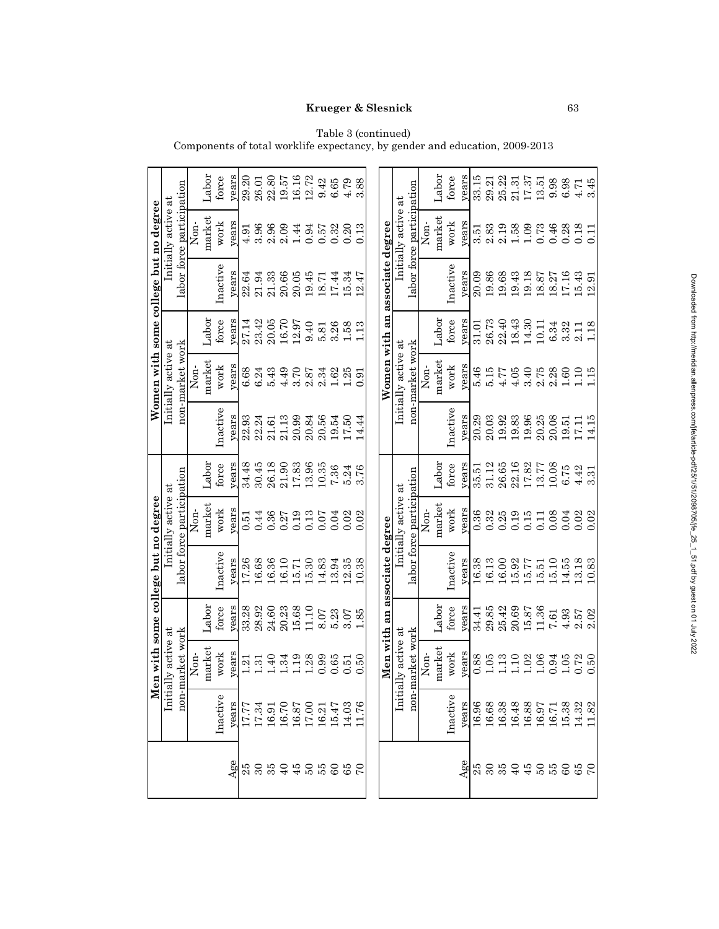# Table 3 (continued)

Components of total worklife expectancy, by gender and education, 2009-2013

|                                       |                              |                           |      | Labor          | force                      | years | 29.20 | 26.01    | 22.80 | 19.57          | 16.16          | 12.72                 | 9.42  | $6.65\,$ | 4.79  | 3.88  |                                | đ                   |                           |      | Labor  | force    | years | 33.15 | 29.21                 | 25.22 | 21.31          | 17.37         | 13.51    | 9.98  | 6.98                                        | 4.71      | 3.45    |
|---------------------------------------|------------------------------|---------------------------|------|----------------|----------------------------|-------|-------|----------|-------|----------------|----------------|-----------------------|-------|----------|-------|-------|--------------------------------|---------------------|---------------------------|------|--------|----------|-------|-------|-----------------------|-------|----------------|---------------|----------|-------|---------------------------------------------|-----------|---------|
|                                       | Initially active at          | labor force participation | Non- | market         | work                       | years | 4.91  | 3.96     | 2.96  | 2.09           | 1.44           | 0.94                  | 0.57  | 0.32     | 0.20  | 0.13  |                                | Initially active    | labor force participation | Non- | market | work     | vears | 3.51  | 2.83                  | 2.19  | 1.58           | 1.09          | 0.73     | 0.46  | 0.28                                        | 0.18      | $\Xi$   |
| Women with some college but no degree |                              |                           |      |                | Inactive                   | years | 22.64 | 21.94    | 21.33 | 20.66          | 20.05          | 19.45                 | 18.71 | 17.44    | 15.34 | 12.47 | Women with an associate degree |                     |                           |      |        | Inactive | years | 20.09 | 19.86                 | 19.68 | 19.43          | 19.18         | 18.87    | 18.27 | 17.16                                       | 15.43     | 2.91    |
|                                       |                              |                           |      | Labor          | force                      | years | 27.14 | 23.42    | 20.05 | 16.70          | 12.97          | 9.40                  | 5.81  | 3.26     | 1.58  | 1.13  |                                |                     |                           |      | Labor  | force    | vears | 31.01 | 26.73                 | 22.40 | 18.43          | 14.30         | 10.11    | 6.34  | 3.32                                        | 2.11      | 1.18    |
|                                       | $\text{Initially active at}$ | non-market work           | Non- | market         | work                       | years | 6.68  | 6.24     | 5.43  | 4.49           | 3.70           | 2.87                  | 2.34  | 1.62     | 1.25  | 0.91  |                                | Initially active at | non-market work           | Non- | market | work     | years | 5.46  | 5.15                  | 4.77  | 4.05           | 3.40          | 2.75     | 2.28  | 1.60                                        | 1.10      | 15      |
|                                       |                              |                           |      |                | Inactive                   | years | 22.93 | 22.24    | 21.61 | 21.13          | 20.99          | 20.84                 | 20.56 | 19.54    | 17.50 | 14.44 |                                |                     |                           |      |        | Inactive | vears | 20.29 | 20.03                 | 19.92 | 19.83          | 19.96         | 20.25    | 20.08 | 19.51                                       | 17.11     | 14.15   |
|                                       |                              |                           |      | $_{\rm Labor}$ | force                      | years | 34.48 | 30.45    | 26.18 | 21.90          | 17.83          | 13.96                 | 10.35 | 7.36     | 5.24  | 3.76  |                                |                     |                           |      | Labor  | force    | years | 35.51 | 31.12                 | 26.65 | 22.16          | 17.82         | 13.77    | 10.08 | 6.75                                        | 4.42      | 3.31    |
|                                       | Initially active at          | labor force participation | Non- | market         | $\ensuremath{\text{work}}$ | years | 0.51  | 0.44     | 0.36  |                | $0.27$<br>0.19 | 0.13                  | 0.07  | 0.04     | 0.02  | 0.02  |                                | Initially active at | abor force participation  | Non- | market | work     | years | 0.36  | $0.32$<br>$0.25$      |       | 0.19           | 0.15          | 0.11     | 0.08  | 0.04                                        | 0.02      | 0.02    |
| Ien with some college but no degree   |                              |                           |      |                | Inactive                   | years | 17.26 | 16.68    | 16.36 | 16.10          | 15.71          | 15.30                 | 14.83 | 13.94    | 12.35 | 10.38 | Men with an associate degree   |                     |                           |      |        | Inactive | vears | 16.38 | 16.13                 | 16.00 | 15.92          | 15.77         | 15.51    | 15.10 | 14.55                                       | 13.18     | 10.83   |
|                                       |                              |                           |      | ${\rm Labor}$  | force                      | years | 33.28 | 28.92    | 24.60 | 20.23          | 15.68          | 11.10                 | 8.07  | 5.23     | 3.07  | 85    |                                |                     |                           |      | Labor  | force    | years | 34.41 | 29.85                 | 25.42 | 20.69          | 15.87         | 11.36    | 7.61  | $\begin{array}{c} 4.93 \\ 2.57 \end{array}$ |           | 2.02    |
|                                       | ially active at              | -market work              | Non- | market         | $\ensuremath{\text{work}}$ | years | 1.21  | $1.31\,$ | 1.40  | 1.34           | 1.19           | 1.28                  | 0.99  | 0.65     | 0.51  | 0.50  |                                | ially active at     | -market work              | Non- | market | work     | years | 0.88  | 1.05                  | 1.13  | 1.10           | 1.02          | $1.06\,$ | 0.94  | 1.05                                        | 0.72      | 0.50    |
|                                       | Initi                        | non                       |      |                | Inactive                   | years | 17.77 | 17.34    | 16.91 | 16.70          |                | $\frac{16.87}{17.00}$ | 16.21 | 15.47    | 14.03 | 11.76 |                                | İnit                | mon                       |      |        | nactive  | years | 16.96 | $\frac{16.68}{16.38}$ |       | 16.48          | 16.88         | 16.97    | 16.71 | 15.38                                       | 14.32     | 82<br>Ë |
|                                       |                              |                           |      |                |                            | Age   |       |          | ಇ ಇ ಇ | $\overline{6}$ | 45             | $\frac{50}{50}$       |       | 60       | 89    |       |                                |                     |                           |      |        |          | Áge   | 25    | $\rm 30$              | 35    | $\overline{4}$ | $\frac{1}{2}$ |          | 50 iS | 60                                          | <b>85</b> |         |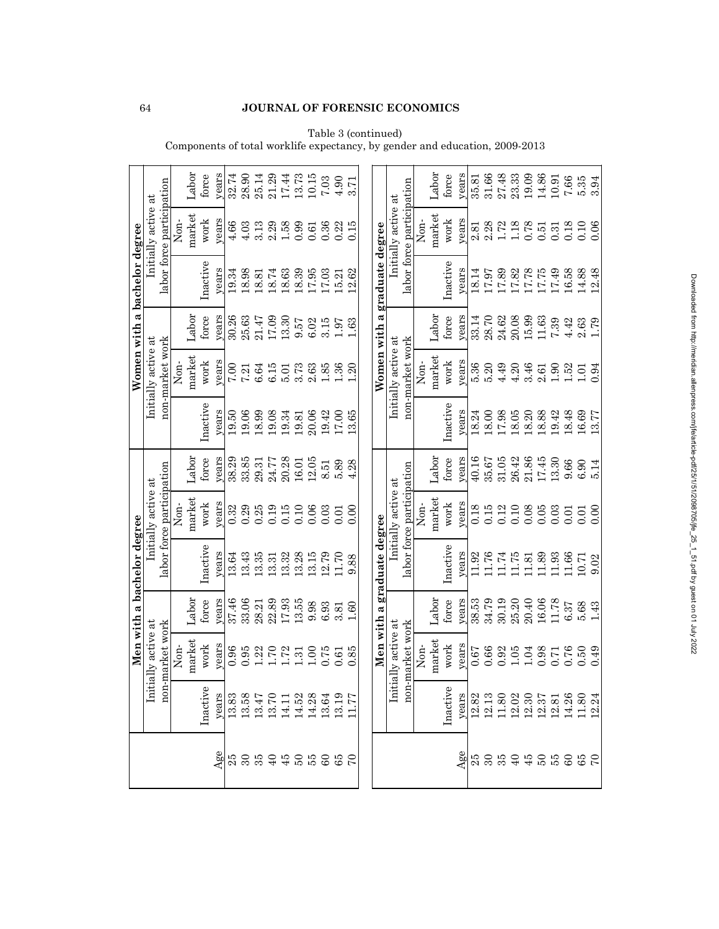|                   |                    |                     |                      | Men with a bachelor degree |                                                                        |                  |                       |                         |                  | Women with a bachelor degree                                                                  |                                             |                    |
|-------------------|--------------------|---------------------|----------------------|----------------------------|------------------------------------------------------------------------|------------------|-----------------------|-------------------------|------------------|-----------------------------------------------------------------------------------------------|---------------------------------------------|--------------------|
|                   | $\Xi$              | itially active at   |                      |                            | Initially active at                                                    |                  |                       | Initially active at     |                  |                                                                                               | Initially active                            | đ                  |
|                   | gu                 | n-market work       |                      |                            | labor force participation                                              |                  |                       | non-market work         |                  |                                                                                               | labor force participation                   |                    |
|                   |                    | Non-                |                      |                            | $\mathop{\mathrm{Non}}$                                                |                  |                       | $\mathop{\mathrm{Non}}$ |                  |                                                                                               | Non-                                        |                    |
|                   |                    | market              | Labor                |                            | narket                                                                 | Labor            |                       | market                  | Labor            |                                                                                               | market                                      | Labor              |
|                   | Inactiv            | work                | force                | Inactive                   | work                                                                   | force            | Inactive              | work                    | force            | Inactive                                                                                      | work                                        | force              |
| Age               | years              | years               | years                | years                      | years                                                                  | years            | years                 | years                   | years            | years                                                                                         | years                                       | years              |
| 25                | 13.83              | 0.96                | 37.46                | 13.64                      | 0.32                                                                   | 38.29            | 19.50                 | 7.00                    | 30.26            | $19.34$<br>$18.98$                                                                            | 4.66                                        | 32.74              |
| $\boldsymbol{30}$ | 13.58              | 0.95                | 33.06                | 13.43                      | 0.29                                                                   | 33.85            | 19.06                 | 7.21                    | 25.63            |                                                                                               | 4.03                                        | 28.90              |
| 35                | 13.47              | 1.22                | 28.21                | 13.35                      | 0.25                                                                   | 29.31            | 18.99                 | 6.64                    | 21.47            | 18.81                                                                                         | 3.13                                        | 25.14              |
| 95258             | 13.70              | 1.72                | 22.89<br>17.93       | 13.31                      | 0.19                                                                   | 24.77            | 19.08                 | 6.15                    | 17.09            | $18.74\,$                                                                                     | $2.39$<br>$1.59$<br>$0.99$                  | 21.29              |
|                   | 14.11              |                     |                      | 13.32                      |                                                                        | 20.28            | 19.34                 | 5.01                    | 13.30            | 18.63                                                                                         |                                             | $17.44$<br>$13.73$ |
|                   | 14.52              | $1.31\,$            | 13.55                | 13.28                      | $\begin{array}{c} 0.15 \\ 0.10 \\ 0.06 \end{array}$                    | 16.01            | 19.81                 | 3.73                    | 9.57             | 18.39                                                                                         |                                             |                    |
|                   | 14.28              | 00,1                | 9.98                 | 13.15                      |                                                                        | 12.05            | 20.06                 | 2.63                    | 6.02             | $\frac{17.95}{17.03}$                                                                         | 0.61                                        | $10.15\,$          |
|                   | 13.64              | 0.75                | 6.93                 | 12.79                      | 0.03                                                                   | 8.51             | 19.42<br>17.00        | 1.85                    | 3.15             |                                                                                               | 0.36                                        | 7.03               |
| $\frac{65}{60}$   | 13.19              | 0.61                | 3.81                 | 11.70                      | 0.01                                                                   | 5.89             |                       | 1.36                    | 1.97             |                                                                                               | 0.22                                        | 4.90               |
|                   | 11.77              | 0.85                | 1.60                 | 9.88                       | 0.00                                                                   | 4.28             | 13.65                 | 1.20                    | 1.63             | 12.62                                                                                         | 0.15                                        | 3.71               |
|                   |                    |                     |                      |                            |                                                                        |                  |                       |                         |                  |                                                                                               |                                             |                    |
|                   |                    | Men with            | $\mathbf{\tilde{c}}$ | graduate degree            |                                                                        |                  |                       | Women with a            |                  | graduate degree                                                                               |                                             |                    |
|                   |                    | Initially active at |                      |                            | Initially active at                                                    |                  |                       | Initially active at     |                  |                                                                                               | Initially active                            | $\vec{a}$          |
|                   | mo                 | n-market work       |                      |                            | labor force participation                                              |                  |                       | non-market work         |                  |                                                                                               | labor force participation                   |                    |
|                   |                    | Non-                |                      |                            | Non-                                                                   |                  |                       | Non-                    |                  |                                                                                               | Non-                                        |                    |
|                   |                    | market              | Labor                |                            | narket                                                                 | Labor            |                       | narket                  | Labor            |                                                                                               | market                                      | Labor              |
|                   | Inactive           | work                | force                | Inactive                   | work                                                                   | force            | Inactive              | work                    | force            | Inactive                                                                                      | work                                        | force              |
| Age               | years              | years               | years                | years                      | years                                                                  | years            | vears                 | years                   | years            | years                                                                                         | years                                       | years              |
| 25                | 12.82              | 0.67                | 38.53                | 11.92                      | 0.18                                                                   | 40.16            | 18.24                 | 5.36                    | 33.14            | 18.14                                                                                         | 2.81                                        | 35.81              |
| $30\,$            | $12.13\,$          | 0.66                | 34.79                | 11.76                      | 0.15                                                                   | 35.67            | $\frac{18.00}{17.98}$ | 5.20                    | 28.70            | $\begin{array}{l} 17.97 \\ 17.89 \\ 17.82 \\ 17.78 \\ 17.78 \\ 17.75 \\ 17.49 \\ \end{array}$ | 2.28                                        | 31.66              |
|                   | 11.80              | 0.92                | 30.19                | 11.74                      | 0.12                                                                   | 31.05            |                       | 4.49                    | 24.62            |                                                                                               | $1.72\,$                                    | 27.48              |
|                   | 12.02              | 1.05                | 25.20                | $11.75\,$                  |                                                                        | 26.42            | 18.05                 | 4.20                    | 20.08            |                                                                                               | $1.18$                                      | 23.33              |
|                   | 12.30              | 1.04                | 20.40                | 11.81                      |                                                                        | 21.86            | 18.20                 | 3.46                    | 15.99            |                                                                                               | 0.78                                        | 19.09              |
|                   | $12.37$<br>$12.81$ |                     | 16.06                | 11.89                      |                                                                        | 17.45            | 18.88                 | 2.61                    | 11.63            |                                                                                               | $\begin{array}{c} 0.51 \\ 0.31 \end{array}$ | 14.86              |
| 53455886          |                    | 88<br>0.71<br>0.76  | 11.78                | $\frac{11.93}{11.66}$      | $\begin{array}{c} 0.0866 \\ 0.0050 \\ 0.0000 \\ 0.0000 \\ \end{array}$ | 13.30            | $19.42$<br>$18.48$    | 1.52                    | 7.39             |                                                                                               |                                             | 10.91              |
|                   | 14.26              |                     | 6.37                 |                            |                                                                        | 9.66             |                       |                         | $4.42$           | 16.58                                                                                         | 0.18                                        | 7.66               |
|                   | 11.80              | 0.50                | $5.68$<br>1.43       | 10.71                      |                                                                        | $6.90$<br>$5.14$ | 16.69<br>13.77        | 1.01                    | $2.63$<br>$1.79$ |                                                                                               | 0.10                                        | $5.35$<br>$3.94$   |
|                   | 12.24              | 0.49                |                      | 9.02                       |                                                                        |                  |                       | 0.94                    |                  | 14.88<br>12.48                                                                                | 0.06                                        |                    |

Table 3 (continued) Components of total worklife expectancy, by gender and education, 2009-2013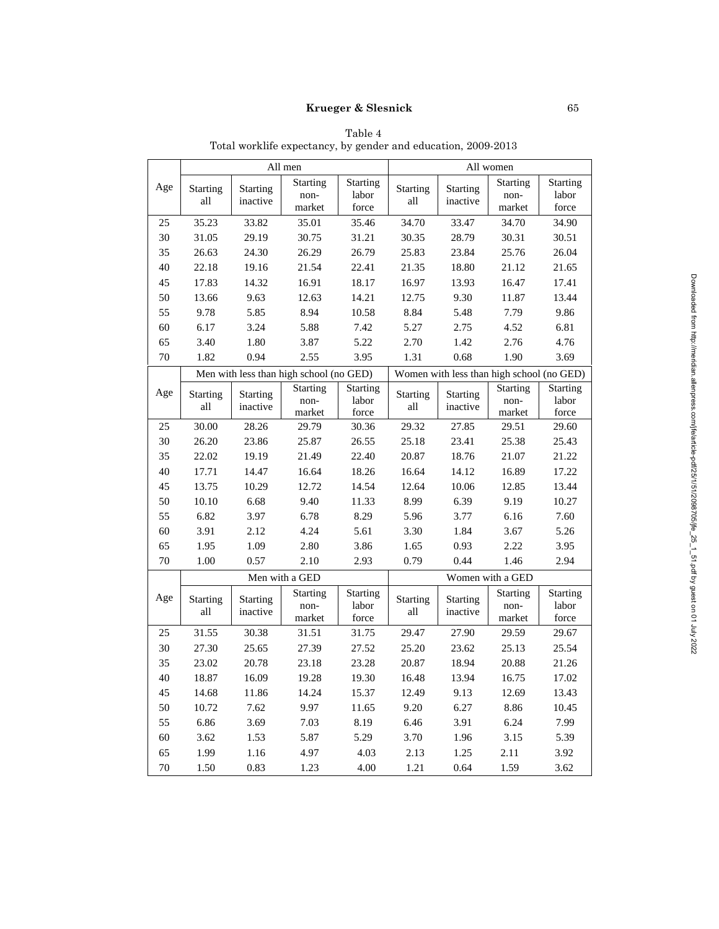|     |                        |                             | All men                                 |                                   |                        |                             | All women                                 |                                   |
|-----|------------------------|-----------------------------|-----------------------------------------|-----------------------------------|------------------------|-----------------------------|-------------------------------------------|-----------------------------------|
| Age | <b>Starting</b><br>all | <b>Starting</b><br>inactive | <b>Starting</b><br>non-<br>market       | <b>Starting</b><br>labor<br>force | <b>Starting</b><br>all | <b>Starting</b><br>inactive | <b>Starting</b><br>non-<br>market         | Starting<br>labor<br>force        |
| 25  | 35.23                  | 33.82                       | 35.01                                   | 35.46                             | 34.70                  | 33.47                       | 34.70                                     | 34.90                             |
| 30  | 31.05                  | 29.19                       | 30.75                                   | 31.21                             | 30.35                  | 28.79                       | 30.31                                     | 30.51                             |
| 35  | 26.63                  | 24.30                       | 26.29                                   | 26.79                             | 25.83                  | 23.84                       | 25.76                                     | 26.04                             |
| 40  | 22.18                  | 19.16                       | 21.54                                   | 22.41                             | 21.35                  | 18.80                       | 21.12                                     | 21.65                             |
| 45  | 17.83                  | 14.32                       | 16.91                                   | 18.17                             | 16.97                  | 13.93                       | 16.47                                     | 17.41                             |
| 50  | 13.66                  | 9.63                        | 12.63                                   | 14.21                             | 12.75                  | 9.30                        | 11.87                                     | 13.44                             |
| 55  | 9.78                   | 5.85                        | 8.94                                    | 10.58                             | 8.84                   | 5.48                        | 7.79                                      | 9.86                              |
| 60  | 6.17                   | 3.24                        | 5.88                                    | 7.42                              | 5.27                   | 2.75                        | 4.52                                      | 6.81                              |
| 65  | 3.40                   | 1.80                        | 3.87                                    | 5.22                              | 2.70                   | 1.42                        | 2.76                                      | 4.76                              |
| 70  | 1.82                   | 0.94                        | 2.55                                    | 3.95                              | 1.31                   | 0.68                        | 1.90                                      | 3.69                              |
|     |                        |                             | Men with less than high school (no GED) |                                   |                        |                             | Women with less than high school (no GED) |                                   |
| Age | <b>Starting</b><br>all | <b>Starting</b><br>inactive | <b>Starting</b><br>non-<br>market       | <b>Starting</b><br>labor<br>force | <b>Starting</b><br>all | <b>Starting</b><br>inactive | <b>Starting</b><br>non-<br>market         | Starting<br>labor<br>force        |
| 25  | 30.00                  | 28.26                       | 29.79                                   | 30.36                             | 29.32                  | 27.85                       | 29.51                                     | 29.60                             |
| 30  | 26.20                  | 23.86                       | 25.87                                   | 26.55                             | 25.18                  | 23.41                       | 25.38                                     | 25.43                             |
| 35  | 22.02                  | 19.19                       | 21.49                                   | 22.40                             | 20.87                  | 18.76                       | 21.07                                     | 21.22                             |
| 40  | 17.71                  | 14.47                       | 16.64                                   | 18.26                             | 16.64                  | 14.12                       | 16.89                                     | 17.22                             |
| 45  | 13.75                  | 10.29                       | 12.72                                   | 14.54                             | 12.64                  | 10.06                       | 12.85                                     | 13.44                             |
| 50  | 10.10                  | 6.68                        | 9.40                                    | 11.33                             | 8.99                   | 6.39                        | 9.19                                      | 10.27                             |
| 55  | 6.82                   | 3.97                        | 6.78                                    | 8.29                              | 5.96                   | 3.77                        | 6.16                                      | 7.60                              |
| 60  | 3.91                   | 2.12                        | 4.24                                    | 5.61                              | 3.30                   | 1.84                        | 3.67                                      | 5.26                              |
| 65  | 1.95                   | 1.09                        | 2.80                                    | 3.86                              | 1.65                   | 0.93                        | 2.22                                      | 3.95                              |
| 70  | 1.00                   | 0.57                        | 2.10                                    | 2.93                              | 0.79                   | 0.44                        | 1.46                                      | 2.94                              |
|     |                        |                             | Men with a GED                          |                                   |                        |                             | Women with a GED                          |                                   |
| Age | <b>Starting</b><br>all | <b>Starting</b><br>inactive | <b>Starting</b><br>non-<br>market       | <b>Starting</b><br>labor<br>force | <b>Starting</b><br>all | <b>Starting</b><br>inactive | Starting<br>non-<br>market                | <b>Starting</b><br>labor<br>force |
| 25  | 31.55                  | 30.38                       | 31.51                                   | 31.75                             | 29.47                  | 27.90                       | 29.59                                     | 29.67                             |
| 30  | 27.30                  | 25.65                       | 27.39                                   | 27.52                             | 25.20                  | 23.62                       | 25.13                                     | 25.54                             |
| 35  | 23.02                  | 20.78                       | 23.18                                   | 23.28                             | 20.87                  | 18.94                       | 20.88                                     | 21.26                             |
| 40  | 18.87                  | 16.09                       | 19.28                                   | 19.30                             | 16.48                  | 13.94                       | 16.75                                     | 17.02                             |
| 45  | 14.68                  | 11.86                       | 14.24                                   | 15.37                             | 12.49                  | 9.13                        | 12.69                                     | 13.43                             |
| 50  | 10.72                  | 7.62                        | 9.97                                    | 11.65                             | 9.20                   | 6.27                        | 8.86                                      | 10.45                             |
| 55  | 6.86                   | 3.69                        | 7.03                                    | 8.19                              | 6.46                   | 3.91                        | 6.24                                      | 7.99                              |
| 60  | 3.62                   | 1.53                        | 5.87                                    | 5.29                              | 3.70                   | 1.96                        | 3.15                                      | 5.39                              |
| 65  | 1.99                   | 1.16                        | 4.97                                    | 4.03                              | 2.13                   | 1.25                        | 2.11                                      | 3.92                              |
| 70  | 1.50                   | 0.83                        | 1.23                                    | 4.00                              | 1.21                   | 0.64                        | 1.59                                      | 3.62                              |

Table 4 Total worklife expectancy, by gender and education, 2009-2013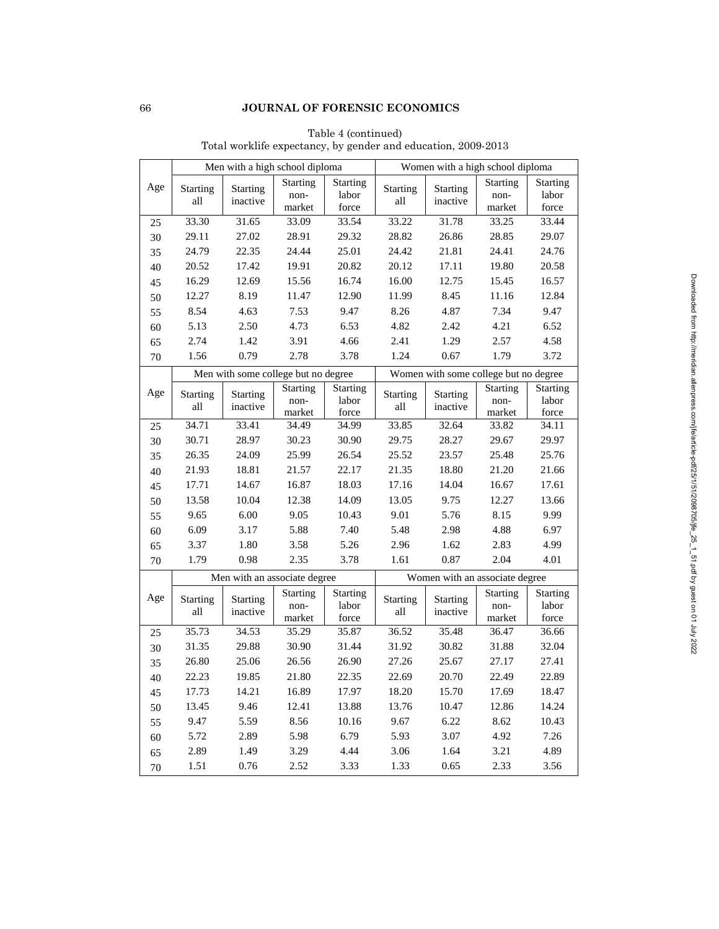|        |                        | Men with a high school diploma      |                                   |                                   |                        |                             | Women with a high school diploma      |                                   |
|--------|------------------------|-------------------------------------|-----------------------------------|-----------------------------------|------------------------|-----------------------------|---------------------------------------|-----------------------------------|
| Age    | <b>Starting</b><br>all | <b>Starting</b><br>inactive         | <b>Starting</b><br>non-<br>market | <b>Starting</b><br>labor<br>force | <b>Starting</b><br>all | <b>Starting</b><br>inactive | <b>Starting</b><br>non-<br>market     | <b>Starting</b><br>labor<br>force |
| 25     | 33.30                  | 31.65                               | 33.09                             | 33.54                             | 33.22                  | 31.78                       | 33.25                                 | 33.44                             |
| 30     | 29.11                  | 27.02                               | 28.91                             | 29.32                             | 28.82                  | 26.86                       | 28.85                                 | 29.07                             |
| 35     | 24.79                  | 22.35                               | 24.44                             | 25.01                             | 24.42                  | 21.81                       | 24.41                                 | 24.76                             |
| 40     | 20.52                  | 17.42                               | 19.91                             | 20.82                             | 20.12                  | 17.11                       | 19.80                                 | 20.58                             |
| 45     | 16.29                  | 12.69                               | 15.56                             | 16.74                             | 16.00                  | 12.75                       | 15.45                                 | 16.57                             |
| 50     | 12.27                  | 8.19                                | 11.47                             | 12.90                             | 11.99                  | 8.45                        | 11.16                                 | 12.84                             |
| 55     | 8.54                   | 4.63                                | 7.53                              | 9.47                              | 8.26                   | 4.87                        | 7.34                                  | 9.47                              |
| 60     | 5.13                   | 2.50                                | 4.73                              | 6.53                              | 4.82                   | 2.42                        | 4.21                                  | 6.52                              |
| 65     | 2.74                   | 1.42                                | 3.91                              | 4.66                              | 2.41                   | 1.29                        | 2.57                                  | 4.58                              |
| 70     | 1.56                   | 0.79                                | 2.78                              | 3.78                              | 1.24                   | 0.67                        | 1.79                                  | 3.72                              |
|        |                        | Men with some college but no degree |                                   |                                   |                        |                             | Women with some college but no degree |                                   |
| Age    | <b>Starting</b><br>all | <b>Starting</b><br>inactive         | <b>Starting</b><br>non-<br>market | <b>Starting</b><br>labor<br>force | <b>Starting</b><br>all | <b>Starting</b><br>inactive | <b>Starting</b><br>non-<br>market     | <b>Starting</b><br>labor<br>force |
| 25     | 34.71                  | 33.41                               | 34.49                             | 34.99                             | 33.85                  | 32.64                       | 33.82                                 | 34.11                             |
| 30     | 30.71                  | 28.97                               | 30.23                             | 30.90                             | 29.75                  | 28.27                       | 29.67                                 | 29.97                             |
| 35     | 26.35                  | 24.09                               | 25.99                             | 26.54                             | 25.52                  | 23.57                       | 25.48                                 | 25.76                             |
| 40     | 21.93                  | 18.81                               | 21.57                             | 22.17                             | 21.35                  | 18.80                       | 21.20                                 | 21.66                             |
| 45     | 17.71                  | 14.67                               | 16.87                             | 18.03                             | 17.16                  | 14.04                       | 16.67                                 | 17.61                             |
| 50     | 13.58                  | 10.04                               | 12.38                             | 14.09                             | 13.05                  | 9.75                        | 12.27                                 | 13.66                             |
| 55     | 9.65                   | 6.00                                | 9.05                              | 10.43                             | 9.01                   | 5.76                        | 8.15                                  | 9.99                              |
| 60     | 6.09                   | 3.17                                | 5.88                              | 7.40                              | 5.48                   | 2.98                        | 4.88                                  | 6.97                              |
| 65     | 3.37                   | 1.80                                | 3.58                              | 5.26                              | 2.96                   | 1.62                        | 2.83                                  | 4.99                              |
| 70     | 1.79                   | 0.98                                | 2.35                              | 3.78                              | 1.61                   | 0.87                        | 2.04                                  | 4.01                              |
|        |                        | Men with an associate degree        |                                   |                                   |                        |                             | Women with an associate degree        |                                   |
| Age    | <b>Starting</b><br>all | <b>Starting</b><br>inactive         | <b>Starting</b><br>non-<br>market | <b>Starting</b><br>labor<br>force | <b>Starting</b><br>all | <b>Starting</b><br>inactive | <b>Starting</b><br>non-<br>market     | Starting<br>labor<br>force        |
| 25     | 35.73                  | 34.53                               | 35.29                             | 35.87                             | 36.52                  | 35.48                       | 36.47                                 | 36.66                             |
| 30     | 31.35                  | 29.88                               | 30.90                             | 31.44                             | 31.92                  | 30.82                       | 31.88                                 | 32.04                             |
| 35     | 26.80                  | 25.06                               | 26.56                             | 26.90                             | 27.26                  | 25.67                       | 27.17                                 | 27.41                             |
| 40     | 22.23                  | 19.85                               | 21.80                             | 22.35                             | 22.69                  | 20.70                       | 22.49                                 | 22.89                             |
| 45     | 17.73                  | 14.21                               | 16.89                             | 17.97                             | 18.20                  | 15.70                       | 17.69                                 | 18.47                             |
| 50     | 13.45                  | 9.46                                | 12.41                             | 13.88                             | 13.76                  | 10.47                       | 12.86                                 | 14.24                             |
| 55     | 9.47                   | 5.59                                | 8.56                              | 10.16                             | 9.67                   | 6.22                        | 8.62                                  | 10.43                             |
| 60     | 5.72                   | 2.89                                | 5.98                              | 6.79                              | 5.93                   | 3.07                        | 4.92                                  | 7.26                              |
| 65     | 2.89                   | 1.49                                | 3.29                              | 4.44                              | 3.06                   | 1.64                        | 3.21                                  | 4.89                              |
| $70\,$ | 1.51                   | 0.76                                | 2.52                              | 3.33                              | 1.33                   | 0.65                        | 2.33                                  | 3.56                              |

Table 4 (continued) Total worklife expectancy, by gender and education, 2009-2013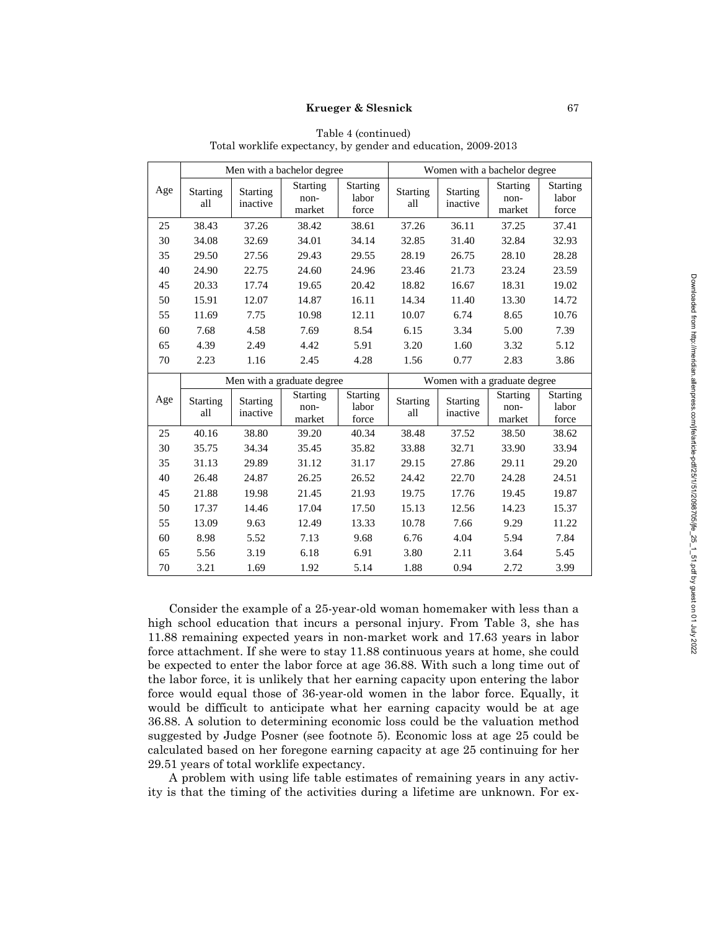|     |                        |                             | Men with a bachelor degree        |                                   |                        |                             | Women with a bachelor degree      |                                   |
|-----|------------------------|-----------------------------|-----------------------------------|-----------------------------------|------------------------|-----------------------------|-----------------------------------|-----------------------------------|
| Age | <b>Starting</b><br>all | <b>Starting</b><br>inactive | <b>Starting</b><br>non-<br>market | <b>Starting</b><br>labor<br>force | <b>Starting</b><br>all | <b>Starting</b><br>inactive | <b>Starting</b><br>non-<br>market | <b>Starting</b><br>labor<br>force |
| 25  | 38.43                  | 37.26                       | 38.42                             | 38.61                             | 37.26                  | 36.11                       | 37.25                             | 37.41                             |
| 30  | 34.08                  | 32.69                       | 34.01                             | 34.14                             | 32.85                  | 31.40                       | 32.84                             | 32.93                             |
| 35  | 29.50                  | 27.56                       | 29.43                             | 29.55                             | 28.19                  | 26.75                       | 28.10                             | 28.28                             |
| 40  | 24.90                  | 22.75                       | 24.60                             | 24.96                             | 23.46                  | 21.73                       | 23.24                             | 23.59                             |
| 45  | 20.33                  | 17.74                       | 19.65                             | 20.42                             | 18.82                  | 16.67                       | 18.31                             | 19.02                             |
| 50  | 15.91                  | 12.07                       | 14.87                             | 16.11                             | 14.34                  | 11.40                       | 13.30                             | 14.72                             |
| 55  | 11.69                  | 7.75                        | 10.98                             | 12.11                             | 10.07                  | 6.74                        | 8.65                              | 10.76                             |
| 60  | 7.68                   | 4.58                        | 7.69                              | 8.54                              | 6.15                   | 3.34                        | 5.00                              | 7.39                              |
| 65  | 4.39                   | 2.49                        | 4.42                              | 5.91                              | 3.20                   | 1.60                        | 3.32                              | 5.12                              |
| 70  | 2.23                   | 1.16                        | 2.45                              | 4.28                              | 1.56                   | 0.77                        | 2.83                              | 3.86                              |
|     |                        |                             |                                   |                                   |                        |                             |                                   |                                   |
|     |                        |                             | Men with a graduate degree        |                                   |                        |                             | Women with a graduate degree      |                                   |
| Age | <b>Starting</b><br>all | <b>Starting</b><br>inactive | <b>Starting</b><br>non-<br>market | <b>Starting</b><br>labor<br>force | <b>Starting</b><br>all | <b>Starting</b><br>inactive | <b>Starting</b><br>non-<br>market | <b>Starting</b><br>labor<br>force |
| 25  | 40.16                  | 38.80                       | 39.20                             | 40.34                             | 38.48                  | 37.52                       | 38.50                             | 38.62                             |
| 30  | 35.75                  | 34.34                       | 35.45                             | 35.82                             | 33.88                  | 32.71                       | 33.90                             | 33.94                             |
| 35  | 31.13                  | 29.89                       | 31.12                             | 31.17                             | 29.15                  | 27.86                       | 29.11                             | 29.20                             |
| 40  | 26.48                  | 24.87                       | 26.25                             | 26.52                             | 24.42                  | 22.70                       | 24.28                             | 24.51                             |
| 45  | 21.88                  | 19.98                       | 21.45                             | 21.93                             | 19.75                  | 17.76                       | 19.45                             | 19.87                             |
| 50  | 17.37                  | 14.46                       | 17.04                             | 17.50                             | 15.13                  | 12.56                       | 14.23                             | 15.37                             |
| 55  | 13.09                  | 9.63                        | 12.49                             | 13.33                             | 10.78                  | 7.66                        | 9.29                              | 11.22                             |
| 60  | 8.98                   | 5.52                        | 7.13                              | 9.68                              | 6.76                   | 4.04                        | 5.94                              | 7.84                              |
| 65  | 5.56                   | 3.19                        | 6.18                              | 6.91                              | 3.80                   | 2.11                        | 3.64                              | 5.45                              |

Table 4 (continued) Total worklife expectancy, by gender and education, 2009-2013

Consider the example of a 25-year-old woman homemaker with less than a high school education that incurs a personal injury. From Table 3, she has 11.88 remaining expected years in non-market work and 17.63 years in labor force attachment. If she were to stay 11.88 continuous years at home, she could be expected to enter the labor force at age 36.88. With such a long time out of the labor force, it is unlikely that her earning capacity upon entering the labor force would equal those of 36-year-old women in the labor force. Equally, it would be difficult to anticipate what her earning capacity would be at age 36.88. A solution to determining economic loss could be the valuation method suggested by Judge Posner (see footnote 5). Economic loss at age 25 could be calculated based on her foregone earning capacity at age 25 continuing for her 29.51 years of total worklife expectancy.

A problem with using life table estimates of remaining years in any activity is that the timing of the activities during a lifetime are unknown. For ex-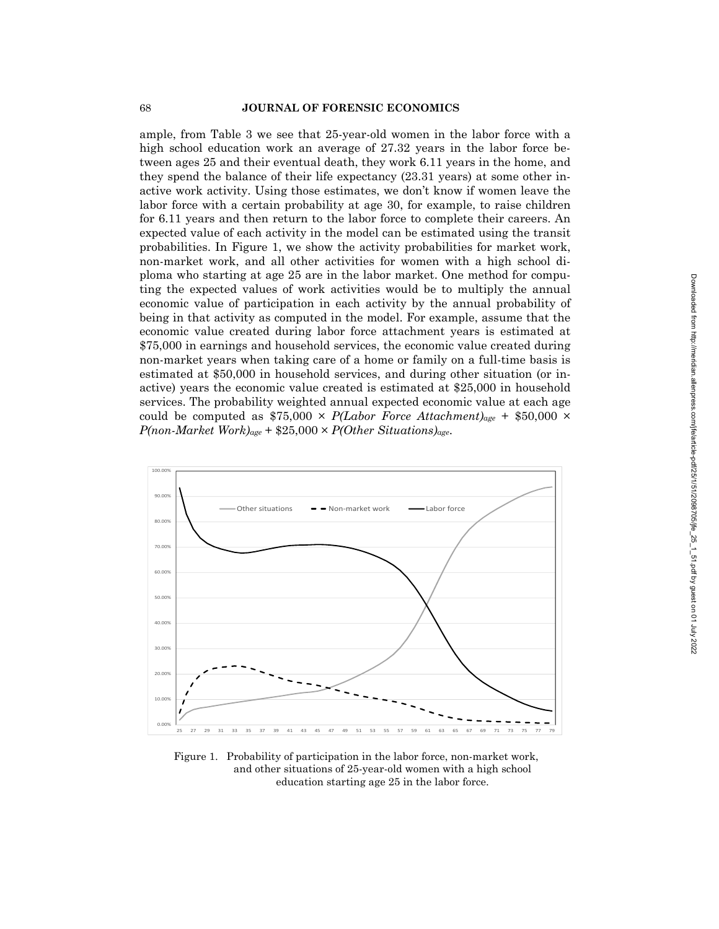ample, from Table 3 we see that 25-year-old women in the labor force with a high school education work an average of 27.32 years in the labor force between ages 25 and their eventual death, they work 6.11 years in the home, and they spend the balance of their life expectancy (23.31 years) at some other inactive work activity. Using those estimates, we don't know if women leave the labor force with a certain probability at age 30, for example, to raise children for 6.11 years and then return to the labor force to complete their careers. An expected value of each activity in the model can be estimated using the transit probabilities. In Figure 1, we show the activity probabilities for market work, non-market work, and all other activities for women with a high school diploma who starting at age 25 are in the labor market. One method for computing the expected values of work activities would be to multiply the annual economic value of participation in each activity by the annual probability of being in that activity as computed in the model. For example, assume that the economic value created during labor force attachment years is estimated at \$75,000 in earnings and household services, the economic value created during non-market years when taking care of a home or family on a full-time basis is estimated at \$50,000 in household services, and during other situation (or inactive) years the economic value created is estimated at \$25,000 in household services. The probability weighted annual expected economic value at each age could be computed as  $$75,000 \times P(Labor Force Attachment)_{age} + $50,000 \times$ *P(non-Market Work)age* + \$25,000 × *P(Other Situations)age*.



Figure 1. Probability of participation in the labor force, non-market work, and other situations of 25-year-old women with a high school education starting age 25 in the labor force.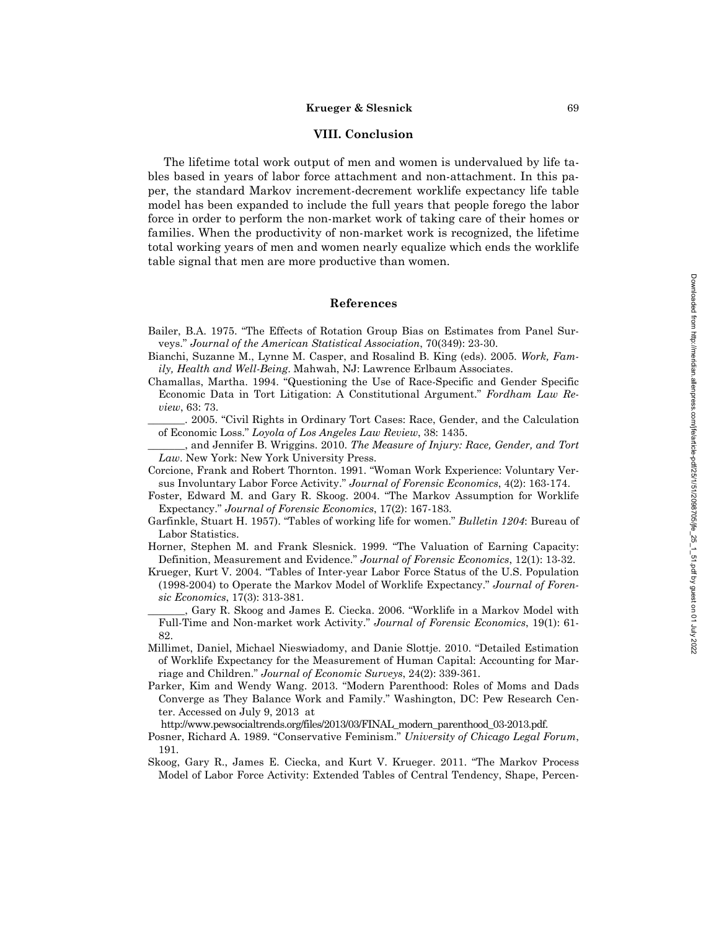## **VIII. Conclusion**

The lifetime total work output of men and women is undervalued by life tables based in years of labor force attachment and non-attachment. In this paper, the standard Markov increment-decrement worklife expectancy life table model has been expanded to include the full years that people forego the labor force in order to perform the non-market work of taking care of their homes or families. When the productivity of non-market work is recognized, the lifetime total working years of men and women nearly equalize which ends the worklife table signal that men are more productive than women.

### **References**

- Bailer, B.A. 1975. "The Effects of Rotation Group Bias on Estimates from Panel Surveys." *Journal of the American Statistical Association*, 70(349): 23-30.
- Bianchi, Suzanne M., Lynne M. Casper, and Rosalind B. King (eds). 2005. *Work, Family, Health and Well-Being*. Mahwah, NJ: Lawrence Erlbaum Associates.
- Chamallas, Martha. 1994. "Questioning the Use of Race-Specific and Gender Specific Economic Data in Tort Litigation: A Constitutional Argument." *Fordham Law Review*, 63: 73.
- \_\_\_\_\_\_\_. 2005. "Civil Rights in Ordinary Tort Cases: Race, Gender, and the Calculation of Economic Loss." *Loyola of Los Angeles Law Review*, 38: 1435.
- \_\_\_\_\_\_\_, and Jennifer B. Wriggins. 2010. *The Measure of Injury: Race, Gender, and Tort Law*. New York: New York University Press.
- Corcione, Frank and Robert Thornton. 1991. "Woman Work Experience: Voluntary Versus Involuntary Labor Force Activity." *Journal of Forensic Economics*, 4(2): 163-174.
- Foster, Edward M. and Gary R. Skoog. 2004. "The Markov Assumption for Worklife Expectancy." *Journal of Forensic Economics*, 17(2): 167-183.
- Garfinkle, Stuart H. 1957). "Tables of working life for women." *Bulletin 1204*: Bureau of Labor Statistics.

Horner, Stephen M. and Frank Slesnick. 1999. "The Valuation of Earning Capacity: Definition, Measurement and Evidence." *Journal of Forensic Economics*, 12(1): 13-32.

- Krueger, Kurt V. 2004. "Tables of Inter-year Labor Force Status of the U.S. Population (1998-2004) to Operate the Markov Model of Worklife Expectancy." *Journal of Forensic Economics*, 17(3): 313-381.
- Gary R. Skoog and James E. Ciecka. 2006. "Worklife in a Markov Model with Full-Time and Non-market work Activity." *Journal of Forensic Economics*, 19(1): 61- 82.
- Millimet, Daniel, Michael Nieswiadomy, and Danie Slottje. 2010. "Detailed Estimation of Worklife Expectancy for the Measurement of Human Capital: Accounting for Marriage and Children." *Journal of Economic Surveys*, 24(2): 339-361.
- Parker, Kim and Wendy Wang. 2013. "Modern Parenthood: Roles of Moms and Dads Converge as They Balance Work and Family." Washington, DC: Pew Research Center. Accessed on July 9, 2013 at

http://www.pewsocialtrends.org/files/2013/03/FINAL\_modern\_parenthood\_03-2013.pdf.

- Posner, Richard A. 1989. "Conservative Feminism." *University of Chicago Legal Forum*, 191.
- Skoog, Gary R., James E. Ciecka, and Kurt V. Krueger. 2011. "The Markov Process Model of Labor Force Activity: Extended Tables of Central Tendency, Shape, Percen-